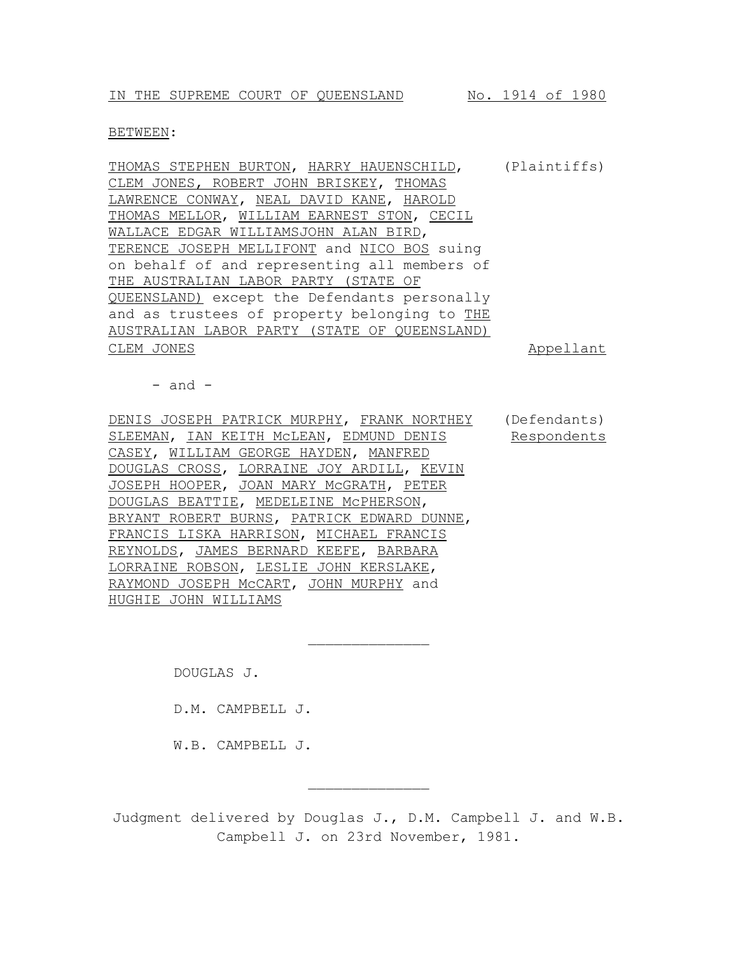#### BETWEEN:

THOMAS STEPHEN BURTON, HARRY HAUENSCHILD, (Plaintiffs) CLEM JONES, ROBERT JOHN BRISKEY, THOMAS LAWRENCE CONWAY, NEAL DAVID KANE, HAROLD THOMAS MELLOR, WILLIAM EARNEST STON, CECIL WALLACE EDGAR WILLIAMSJOHN ALAN BIRD, TERENCE JOSEPH MELLIFONT and NICO BOS suing on behalf of and representing all members of THE AUSTRALIAN LABOR PARTY (STATE OF QUEENSLAND) except the Defendants personally and as trustees of property belonging to THE AUSTRALIAN LABOR PARTY (STATE OF QUEENSLAND) CLEM JONES **Appellant** 

 $-$  and  $-$ 

DENIS JOSEPH PATRICK MURPHY, FRANK NORTHEY SLEEMAN, IAN KEITH MCLEAN, EDMUND DENIS CASEY, WILLIAM GEORGE HAYDEN, MANFRED DOUGLAS CROSS, LORRAINE JOY ARDILL, KEVIN JOSEPH HOOPER, JOAN MARY McGRATH, PETER DOUGLAS BEATTIE, MEDELEINE McPHERSON, BRYANT ROBERT BURNS, PATRICK EDWARD DUNNE, FRANCIS LISKA HARRISON, MICHAEL FRANCIS REYNOLDS, JAMES BERNARD KEEFE, BARBARA LORRAINE ROBSON, LESLIE JOHN KERSLAKE, RAYMOND JOSEPH McCART, JOHN MURPHY and HUGHIE JOHN WILLIAMS (Defendants) Respondents

DOUGLAS J.

D.M. CAMPBELL J.

W.B. CAMPBELL J.

Judgment delivered by Douglas J., D.M. Campbell J. and W.B. Campbell J. on 23rd November, 1981.

 $\frac{1}{2}$ 

 $\frac{1}{2}$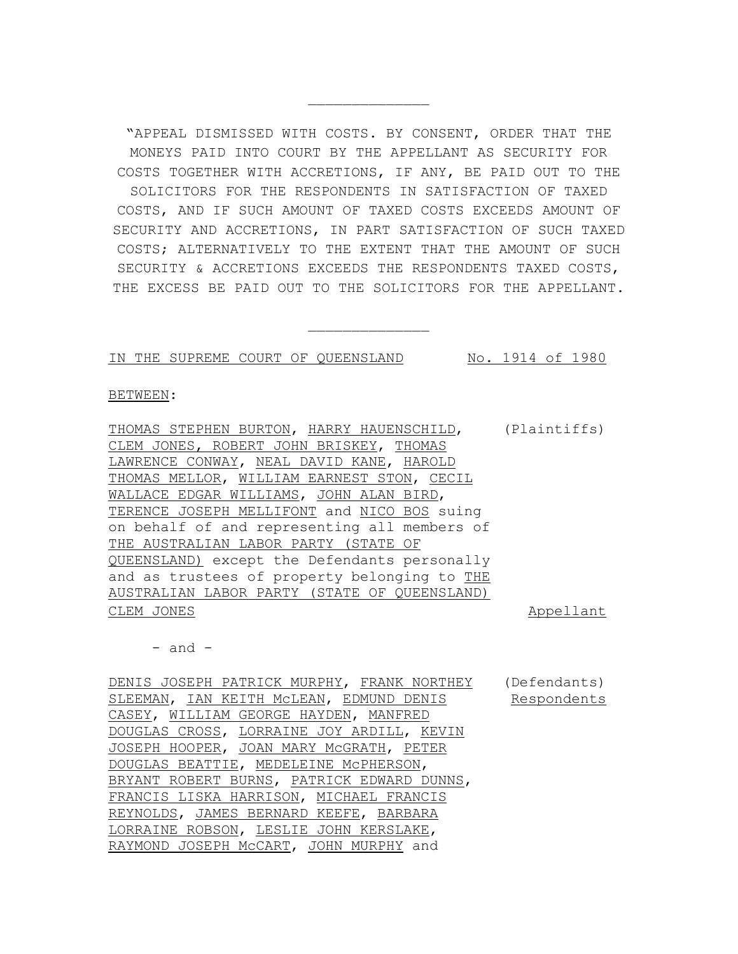"APPEAL DISMISSED WITH COSTS. BY CONSENT, ORDER THAT THE MONEYS PAID INTO COURT BY THE APPELLANT AS SECURITY FOR COSTS TOGETHER WITH ACCRETIONS, IF ANY, BE PAID OUT TO THE SOLICITORS FOR THE RESPONDENTS IN SATISFACTION OF TAXED COSTS, AND IF SUCH AMOUNT OF TAXED COSTS EXCEEDS AMOUNT OF SECURITY AND ACCRETIONS, IN PART SATISFACTION OF SUCH TAXED COSTS; ALTERNATIVELY TO THE EXTENT THAT THE AMOUNT OF SUCH SECURITY & ACCRETIONS EXCEEDS THE RESPONDENTS TAXED COSTS, THE EXCESS BE PAID OUT TO THE SOLICITORS FOR THE APPELLANT.

 $\frac{1}{2}$ 

 $\frac{1}{2}$ 

IN THE SUPREME COURT OF QUEENSLAND No. 1914 of 1980

BETWEEN:

THOMAS STEPHEN BURTON, HARRY HAUENSCHILD, CLEM JONES, ROBERT JOHN BRISKEY, THOMAS LAWRENCE CONWAY, NEAL DAVID KANE, HAROLD THOMAS MELLOR, WILLIAM EARNEST STON, CECIL WALLACE EDGAR WILLIAMS, JOHN ALAN BIRD, TERENCE JOSEPH MELLIFONT and NICO BOS suing on behalf of and representing all members of THE AUSTRALIAN LABOR PARTY (STATE OF QUEENSLAND) except the Defendants personally and as trustees of property belonging to THE AUSTRALIAN LABOR PARTY (STATE OF QUEENSLAND) (Plaintiffs) CLEM JONES Appellant

 $-$  and  $-$ 

DENIS JOSEPH PATRICK MURPHY, FRANK NORTHEY (Defendants) SLEEMAN, IAN KEITH McLEAN, EDMUND DENIS CASEY, WILLIAM GEORGE HAYDEN, MANFRED DOUGLAS CROSS, LORRAINE JOY ARDILL, KEVIN JOSEPH HOOPER, JOAN MARY McGRATH, PETER DOUGLAS BEATTIE, MEDELEINE McPHERSON, BRYANT ROBERT BURNS, PATRICK EDWARD DUNNS, FRANCIS LISKA HARRISON, MICHAEL FRANCIS REYNOLDS, JAMES BERNARD KEEFE, BARBARA LORRAINE ROBSON, LESLIE JOHN KERSLAKE, RAYMOND JOSEPH McCART, JOHN MURPHY and Respondents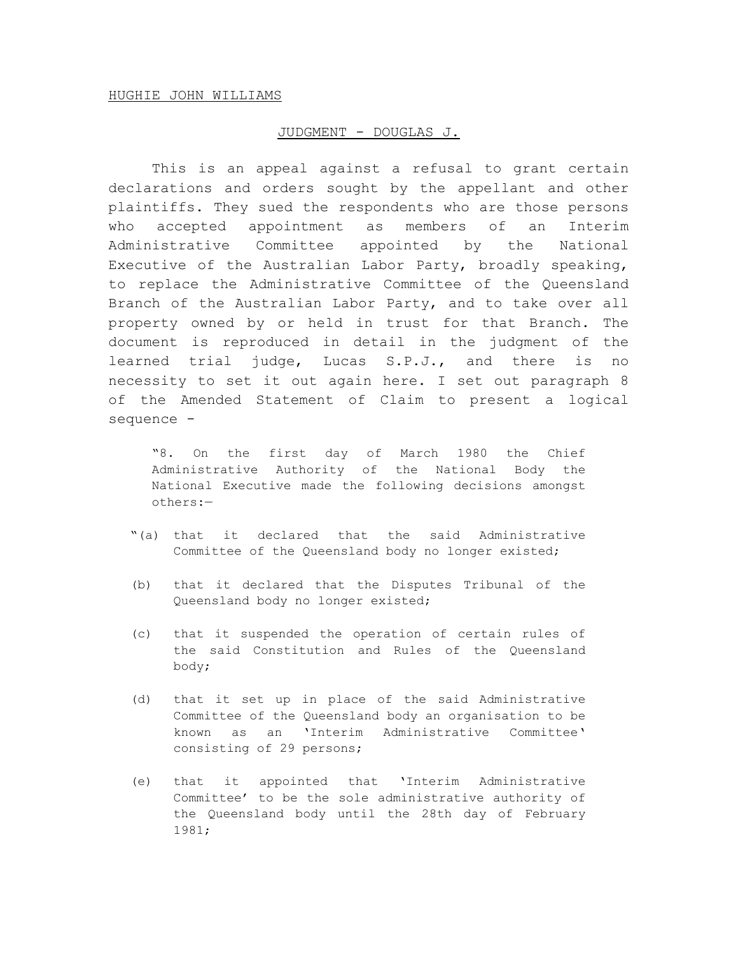# JUDGMENT - DOUGLAS J.

This is an appeal against a refusal to grant certain declarations and orders sought by the appellant and other plaintiffs. They sued the respondents who are those persons who accepted appointment as members of an Interim Administrative Committee appointed by the National Executive of the Australian Labor Party, broadly speaking, to replace the Administrative Committee of the Queensland Branch of the Australian Labor Party, and to take over all property owned by or held in trust for that Branch. The document is reproduced in detail in the judgment of the learned trial judge, Lucas S.P.J., and there is no necessity to set it out again here. I set out paragraph 8 of the Amended Statement of Claim to present a logical sequence -

"8. On the first day of March 1980 the Chief Administrative Authority of the National Body the National Executive made the following decisions amongst others:—

- "(a) that it declared that the said Administrative Committee of the Queensland body no longer existed;
- (b) that it declared that the Disputes Tribunal of the Queensland body no longer existed;
- (c) that it suspended the operation of certain rules of the said Constitution and Rules of the Queensland body;
- (d) that it set up in place of the said Administrative Committee of the Queensland body an organisation to be known as an 'Interim Administrative Committee' consisting of 29 persons;
- (e) that it appointed that 'Interim Administrative Committee' to be the sole administrative authority of the Queensland body until the 28th day of February 1981;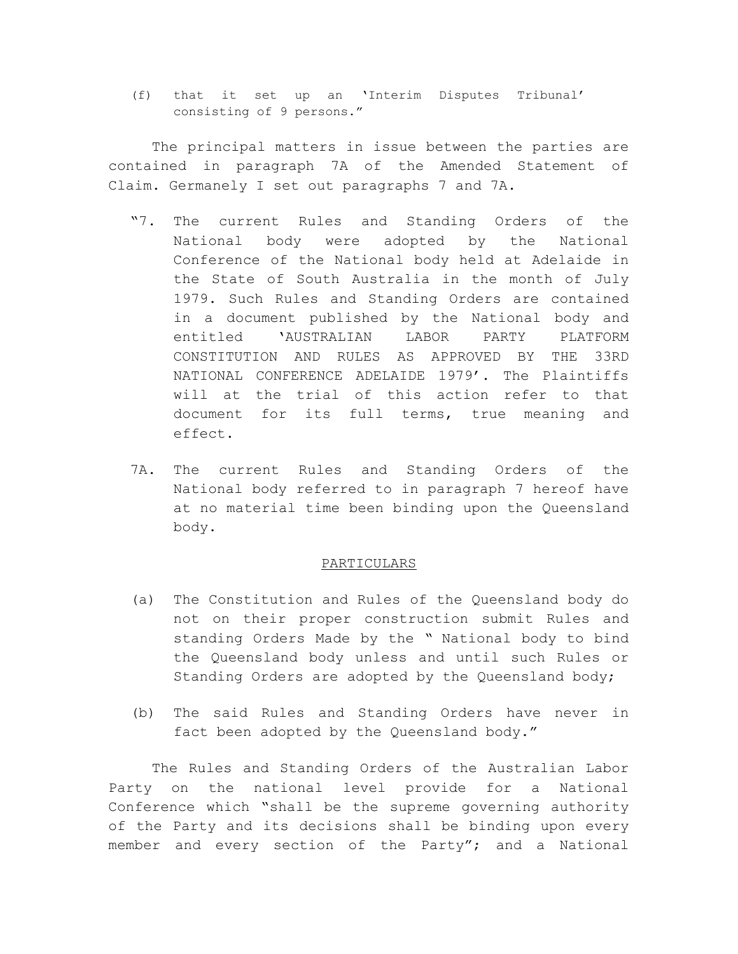(f) that it set up an 'Interim Disputes Tribunal' consisting of 9 persons."

The principal matters in issue between the parties are contained in paragraph 7A of the Amended Statement of Claim. Germanely I set out paragraphs 7 and 7A.

- "7. The current Rules and Standing Orders of the National body were adopted by the National Conference of the National body held at Adelaide in the State of South Australia in the month of July 1979. Such Rules and Standing Orders are contained in a document published by the National body and entitled 'AUSTRALIAN LABOR PARTY PLATFORM CONSTITUTION AND RULES AS APPROVED BY THE 33RD NATIONAL CONFERENCE ADELAIDE 1979'. The Plaintiffs will at the trial of this action refer to that document for its full terms, true meaning and effect.
- 7A. The current Rules and Standing Orders of the National body referred to in paragraph 7 hereof have at no material time been binding upon the Queensland body.

# PARTICULARS

- (a) The Constitution and Rules of the Queensland body do not on their proper construction submit Rules and standing Orders Made by the " National body to bind the Queensland body unless and until such Rules or Standing Orders are adopted by the Queensland body;
- (b) The said Rules and Standing Orders have never in fact been adopted by the Queensland body."

The Rules and Standing Orders of the Australian Labor Party on the national level provide for a National Conference which "shall be the supreme governing authority of the Party and its decisions shall be binding upon every member and every section of the Party"; and a National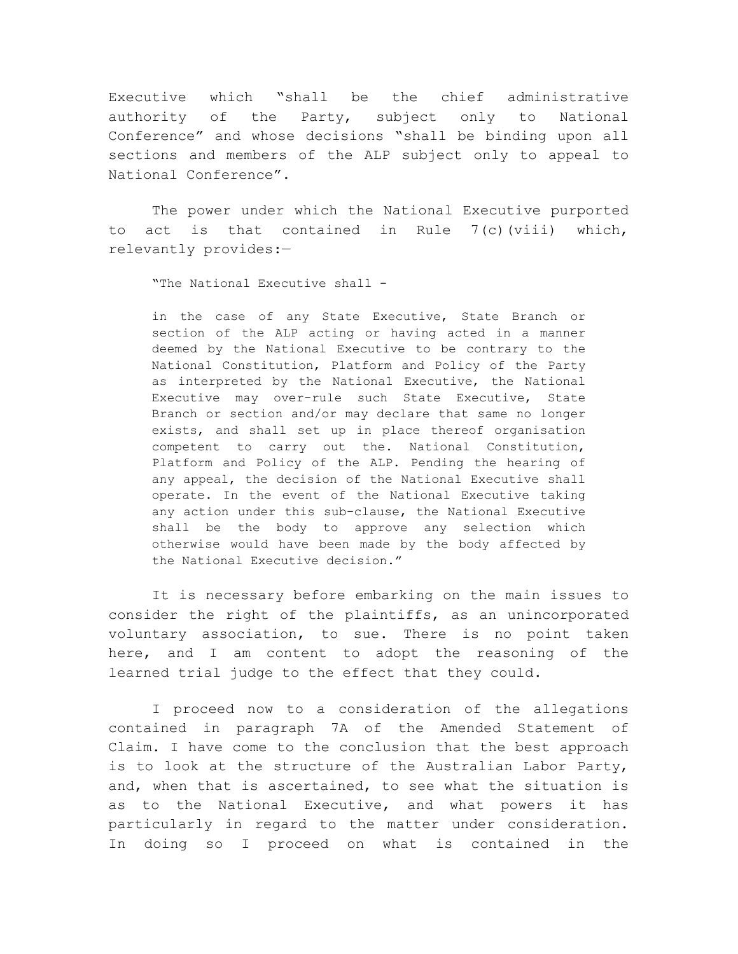Executive which "shall be the chief administrative authority of the Party, subject only to National Conference" and whose decisions "shall be binding upon all sections and members of the ALP subject only to appeal to National Conference".

The power under which the National Executive purported to act is that contained in Rule 7(c)(viii) which, relevantly provides:—

"The National Executive shall -

in the case of any State Executive, State Branch or section of the ALP acting or having acted in a manner deemed by the National Executive to be contrary to the National Constitution, Platform and Policy of the Party as interpreted by the National Executive, the National Executive may over-rule such State Executive, State Branch or section and/or may declare that same no longer exists, and shall set up in place thereof organisation competent to carry out the. National Constitution, Platform and Policy of the ALP. Pending the hearing of any appeal, the decision of the National Executive shall operate. In the event of the National Executive taking any action under this sub-clause, the National Executive shall be the body to approve any selection which otherwise would have been made by the body affected by the National Executive decision."

It is necessary before embarking on the main issues to consider the right of the plaintiffs, as an unincorporated voluntary association, to sue. There is no point taken here, and I am content to adopt the reasoning of the learned trial judge to the effect that they could.

I proceed now to a consideration of the allegations contained in paragraph 7A of the Amended Statement of Claim. I have come to the conclusion that the best approach is to look at the structure of the Australian Labor Party, and, when that is ascertained, to see what the situation is as to the National Executive, and what powers it has particularly in regard to the matter under consideration. In doing so I proceed on what is contained in the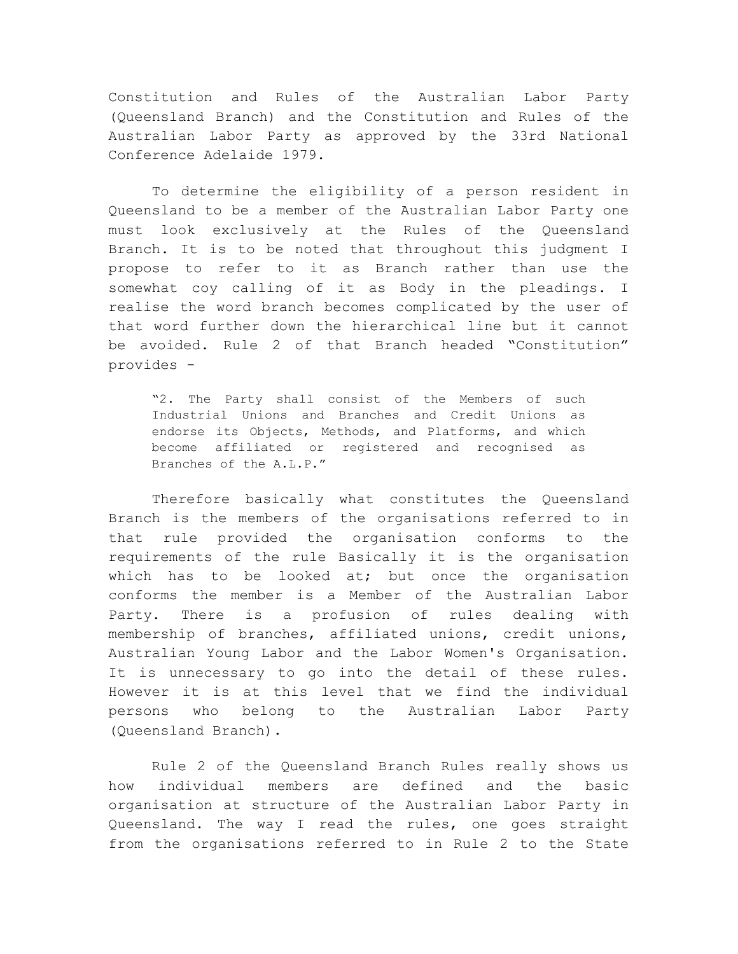Constitution and Rules of the Australian Labor Party (Queensland Branch) and the Constitution and Rules of the Australian Labor Party as approved by the 33rd National Conference Adelaide 1979.

To determine the eligibility of a person resident in Queensland to be a member of the Australian Labor Party one must look exclusively at the Rules of the Queensland Branch. It is to be noted that throughout this judgment I propose to refer to it as Branch rather than use the somewhat coy calling of it as Body in the pleadings. I realise the word branch becomes complicated by the user of that word further down the hierarchical line but it cannot be avoided. Rule 2 of that Branch headed "Constitution" provides -

"2. The Party shall consist of the Members of such Industrial Unions and Branches and Credit Unions as endorse its Objects, Methods, and Platforms, and which become affiliated or registered and recognised as Branches of the A.L.P."

Therefore basically what constitutes the Queensland Branch is the members of the organisations referred to in that rule provided the organisation conforms to the requirements of the rule Basically it is the organisation which has to be looked at; but once the organisation conforms the member is a Member of the Australian Labor Party. There is a profusion of rules dealing with membership of branches, affiliated unions, credit unions, Australian Young Labor and the Labor Women's Organisation. It is unnecessary to go into the detail of these rules. However it is at this level that we find the individual persons who belong to the Australian Labor Party (Queensland Branch).

Rule 2 of the Queensland Branch Rules really shows us how individual members are defined and the basic organisation at structure of the Australian Labor Party in Queensland. The way I read the rules, one goes straight from the organisations referred to in Rule 2 to the State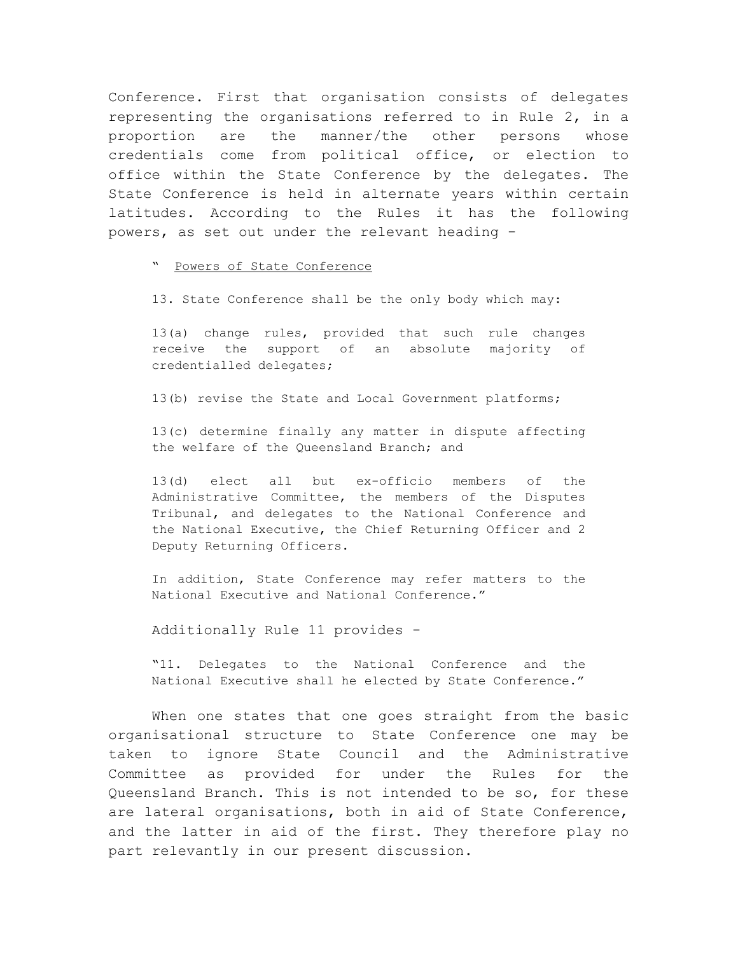Conference. First that organisation consists of delegates representing the organisations referred to in Rule 2, in a proportion are the manner/the other persons whose credentials come from political office, or election to office within the State Conference by the delegates. The State Conference is held in alternate years within certain latitudes. According to the Rules it has the following powers, as set out under the relevant heading -

" Powers of State Conference

13. State Conference shall be the only body which may:

13(a) change rules, provided that such rule changes receive the support of an absolute majority of credentialled delegates;

13(b) revise the State and Local Government platforms;

13(c) determine finally any matter in dispute affecting the welfare of the Queensland Branch; and

13(d) elect all but ex-officio members of the Administrative Committee, the members of the Disputes Tribunal, and delegates to the National Conference and the National Executive, the Chief Returning Officer and 2 Deputy Returning Officers.

In addition, State Conference may refer matters to the National Executive and National Conference."

Additionally Rule 11 provides -

"11. Delegates to the National Conference and the National Executive shall he elected by State Conference."

When one states that one goes straight from the basic organisational structure to State Conference one may be taken to ignore State Council and the Administrative Committee as provided for under the Rules for the Queensland Branch. This is not intended to be so, for these are lateral organisations, both in aid of State Conference, and the latter in aid of the first. They therefore play no part relevantly in our present discussion.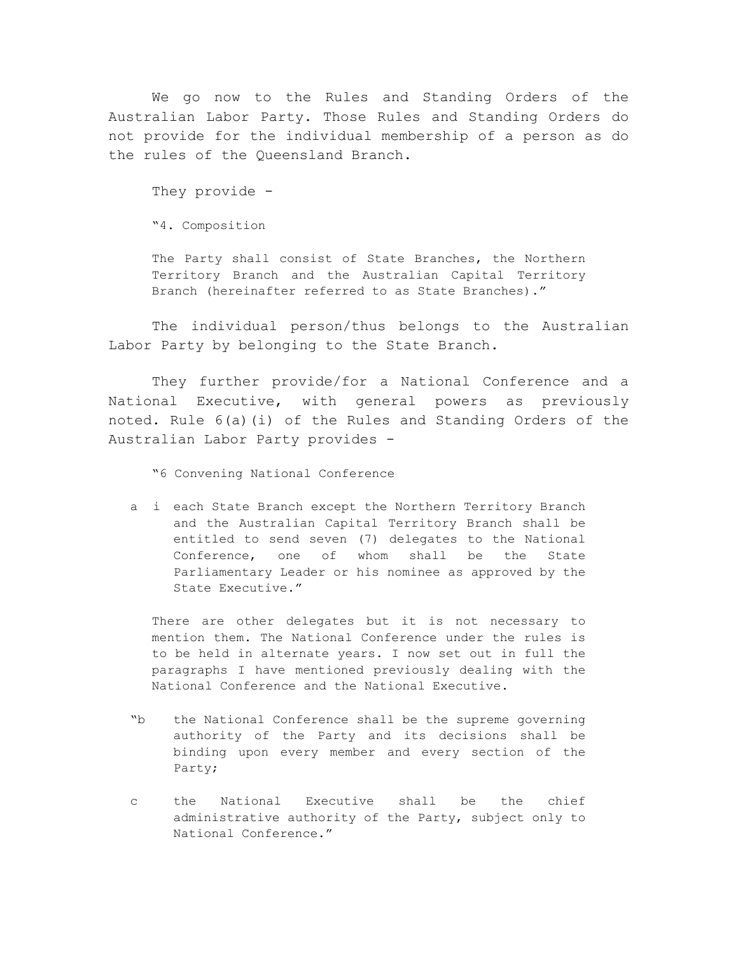We go now to the Rules and Standing Orders of the Australian Labor Party. Those Rules and Standing Orders do not provide for the individual membership of a person as do the rules of the Queensland Branch.

They provide -

"4. Composition

The Party shall consist of State Branches, the Northern Territory Branch and the Australian Capital Territory Branch (hereinafter referred to as State Branches)."

The individual person/thus belongs to the Australian Labor Party by belonging to the State Branch.

They further provide/for a National Conference and a National Executive, with general powers as previously noted. Rule 6(a)(i) of the Rules and Standing Orders of the Australian Labor Party provides -

"6 Convening National Conference

a i each State Branch except the Northern Territory Branch and the Australian Capital Territory Branch shall be entitled to send seven (7) delegates to the National Conference, one of whom shall be the State Parliamentary Leader or his nominee as approved by the State Executive."

There are other delegates but it is not necessary to mention them. The National Conference under the rules is to be held in alternate years. I now set out in full the paragraphs I have mentioned previously dealing with the National Conference and the National Executive.

- "b the National Conference shall be the supreme governing authority of the Party and its decisions shall be binding upon every member and every section of the Party;
- c the National Executive shall be the chief administrative authority of the Party, subject only to National Conference."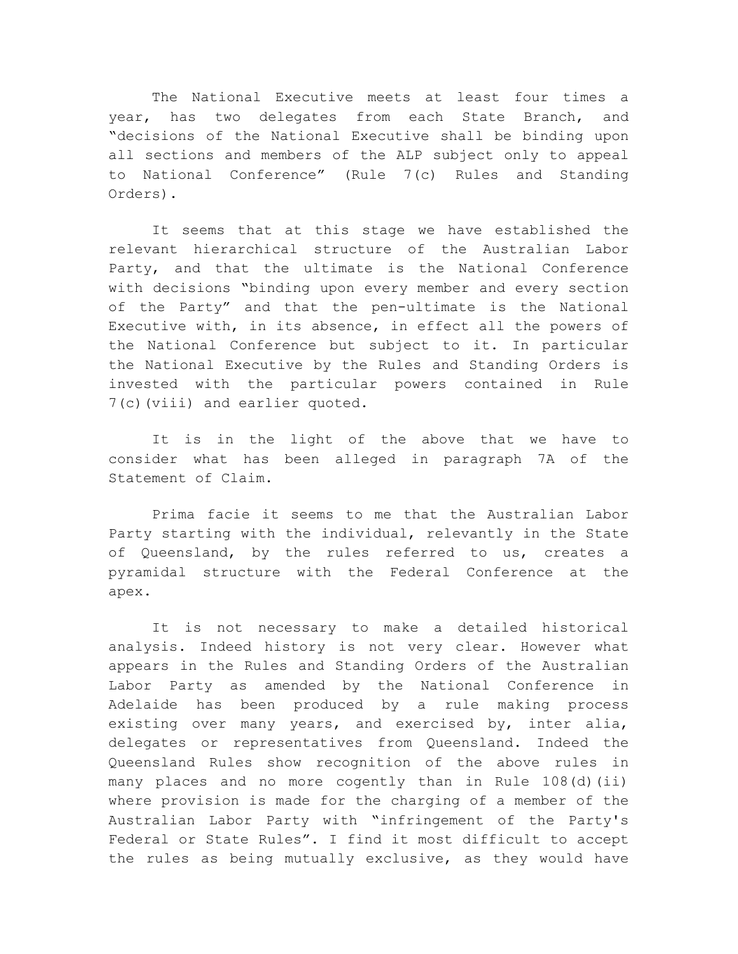The National Executive meets at least four times a year, has two delegates from each State Branch, and "decisions of the National Executive shall be binding upon all sections and members of the ALP subject only to appeal to National Conference" (Rule 7(c) Rules and Standing Orders).

It seems that at this stage we have established the relevant hierarchical structure of the Australian Labor Party, and that the ultimate is the National Conference with decisions "binding upon every member and every section of the Party" and that the pen-ultimate is the National Executive with, in its absence, in effect all the powers of the National Conference but subject to it. In particular the National Executive by the Rules and Standing Orders is invested with the particular powers contained in Rule 7(c)(viii) and earlier quoted.

It is in the light of the above that we have to consider what has been alleged in paragraph 7A of the Statement of Claim.

Prima facie it seems to me that the Australian Labor Party starting with the individual, relevantly in the State of Queensland, by the rules referred to us, creates a pyramidal structure with the Federal Conference at the apex.

It is not necessary to make a detailed historical analysis. Indeed history is not very clear. However what appears in the Rules and Standing Orders of the Australian Labor Party as amended by the National Conference in Adelaide has been produced by a rule making process existing over many years, and exercised by, inter alia, delegates or representatives from Queensland. Indeed the Queensland Rules show recognition of the above rules in many places and no more cogently than in Rule 108(d)(ii) where provision is made for the charging of a member of the Australian Labor Party with "infringement of the Party's Federal or State Rules". I find it most difficult to accept the rules as being mutually exclusive, as they would have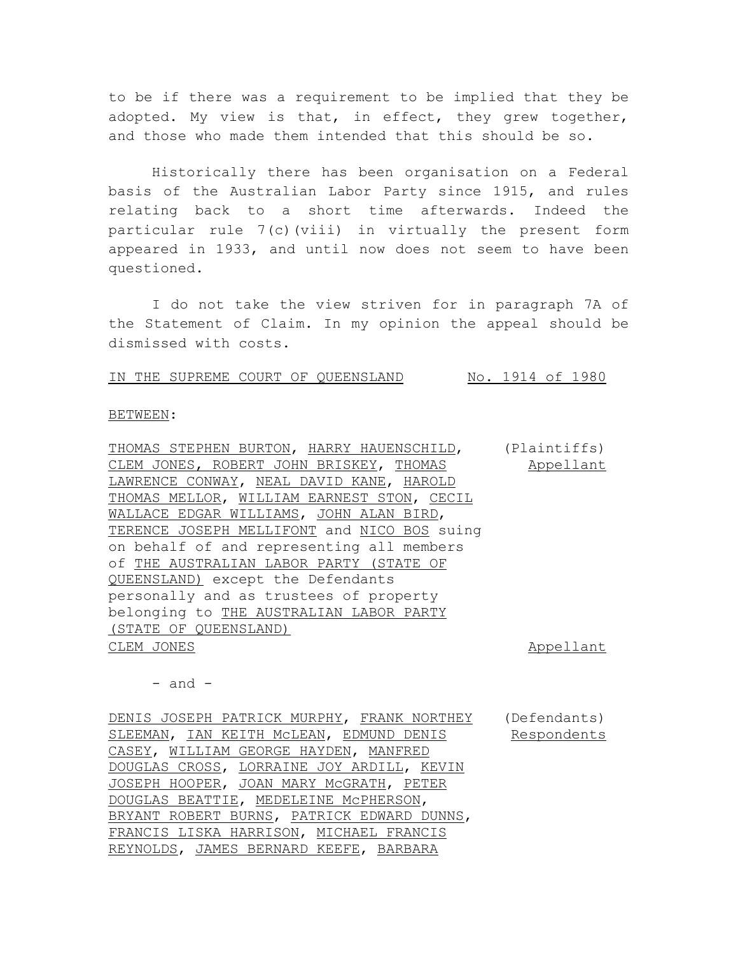to be if there was a requirement to be implied that they be adopted. My view is that, in effect, they grew together, and those who made them intended that this should be so.

Historically there has been organisation on a Federal basis of the Australian Labor Party since 1915, and rules relating back to a short time afterwards. Indeed the particular rule 7(c)(viii) in virtually the present form appeared in 1933, and until now does not seem to have been questioned.

I do not take the view striven for in paragraph 7A of the Statement of Claim. In my opinion the appeal should be dismissed with costs.

IN THE SUPREME COURT OF QUEENSLAND No. 1914 of 1980

#### BETWEEN:

THOMAS STEPHEN BURTON, HARRY HAUENSCHILD, CLEM JONES, ROBERT JOHN BRISKEY, THOMAS LAWRENCE CONWAY, NEAL DAVID KANE, HAROLD THOMAS MELLOR, WILLIAM EARNEST STON, CECIL WALLACE EDGAR WILLIAMS, JOHN ALAN BIRD, TERENCE JOSEPH MELLIFONT and NICO BOS suing on behalf of and representing all members of THE AUSTRALIAN LABOR PARTY (STATE OF QUEENSLAND) except the Defendants personally and as trustees of property belonging to THE AUSTRALIAN LABOR PARTY (STATE OF QUEENSLAND) (Plaintiffs) Appellant

CLEM JONES Appellant

 $-$  and  $-$ 

DENIS JOSEPH PATRICK MURPHY, FRANK NORTHEY SLEEMAN, IAN KEITH McLEAN, EDMUND DENIS CASEY, WILLIAM GEORGE HAYDEN, MANFRED DOUGLAS CROSS, LORRAINE JOY ARDILL, KEVIN JOSEPH HOOPER, JOAN MARY McGRATH, PETER DOUGLAS BEATTIE, MEDELEINE McPHERSON, BRYANT ROBERT BURNS, PATRICK EDWARD DUNNS, FRANCIS LISKA HARRISON, MICHAEL FRANCIS REYNOLDS, JAMES BERNARD KEEFE, BARBARA (Defendants) Respondents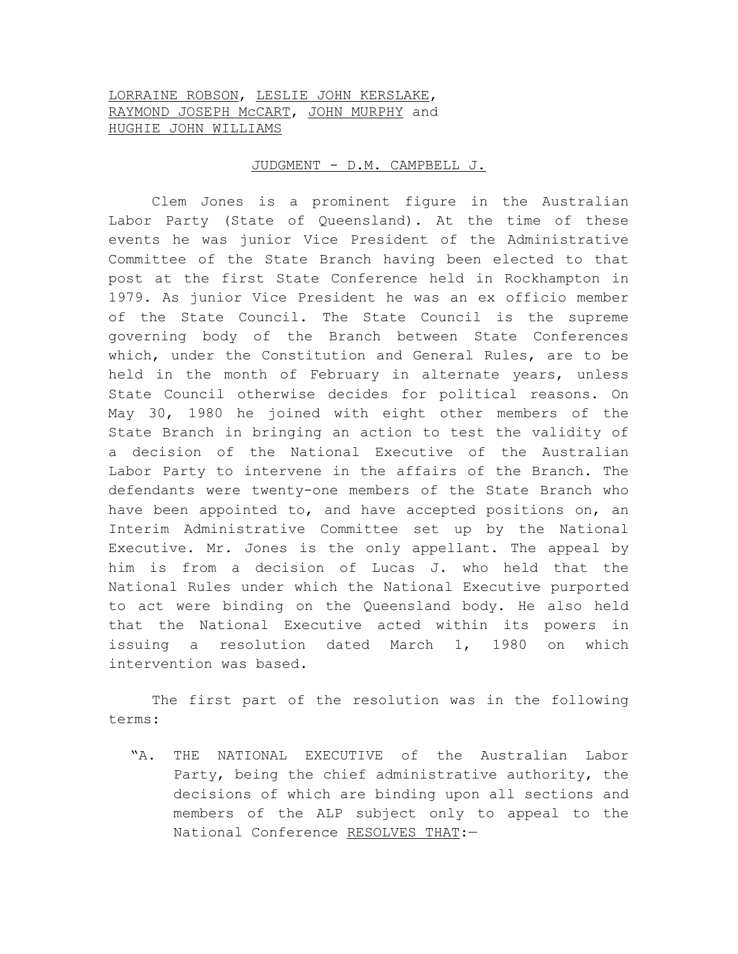# LORRAINE ROBSON, LESLIE JOHN KERSLAKE, RAYMOND JOSEPH McCART, JOHN MURPHY and HUGHIE JOHN WILLIAMS

## JUDGMENT - D.M. CAMPBELL J.

Clem Jones is a prominent figure in the Australian Labor Party (State of Queensland). At the time of these events he was junior Vice President of the Administrative Committee of the State Branch having been elected to that post at the first State Conference held in Rockhampton in 1979. As junior Vice President he was an ex officio member of the State Council. The State Council is the supreme governing body of the Branch between State Conferences which, under the Constitution and General Rules, are to be held in the month of February in alternate years, unless State Council otherwise decides for political reasons. On May 30, 1980 he joined with eight other members of the State Branch in bringing an action to test the validity of a decision of the National Executive of the Australian Labor Party to intervene in the affairs of the Branch. The defendants were twenty-one members of the State Branch who have been appointed to, and have accepted positions on, an Interim Administrative Committee set up by the National Executive. Mr. Jones is the only appellant. The appeal by him is from a decision of Lucas J. who held that the National Rules under which the National Executive purported to act were binding on the Queensland body. He also held that the National Executive acted within its powers in issuing a resolution dated March 1, 1980 on which intervention was based.

The first part of the resolution was in the following terms:

"A. THE NATIONAL EXECUTIVE of the Australian Labor Party, being the chief administrative authority, the decisions of which are binding upon all sections and members of the ALP subject only to appeal to the National Conference RESOLVES THAT:—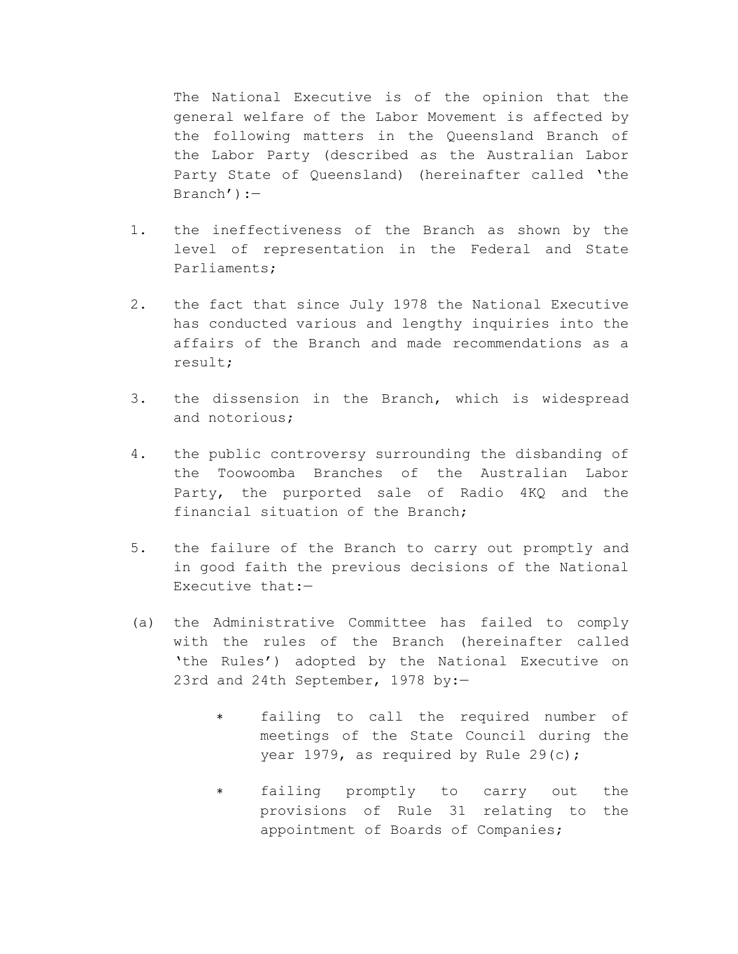The National Executive is of the opinion that the general welfare of the Labor Movement is affected by the following matters in the Queensland Branch of the Labor Party (described as the Australian Labor Party State of Queensland) (hereinafter called 'the Branch'):—

- 1. the ineffectiveness of the Branch as shown by the level of representation in the Federal and State Parliaments;
- 2. the fact that since July 1978 the National Executive has conducted various and lengthy inquiries into the affairs of the Branch and made recommendations as a result;
- 3. the dissension in the Branch, which is widespread and notorious;
- 4. the public controversy surrounding the disbanding of the Toowoomba Branches of the Australian Labor Party, the purported sale of Radio 4KQ and the financial situation of the Branch;
- 5. the failure of the Branch to carry out promptly and in good faith the previous decisions of the National Executive that:—
- (a) the Administrative Committee has failed to comply with the rules of the Branch (hereinafter called 'the Rules') adopted by the National Executive on 23rd and 24th September, 1978 by:—
	- ∗ failing to call the required number of meetings of the State Council during the year 1979, as required by Rule 29(c);
	- ∗ failing promptly to carry out the provisions of Rule 31 relating to the appointment of Boards of Companies;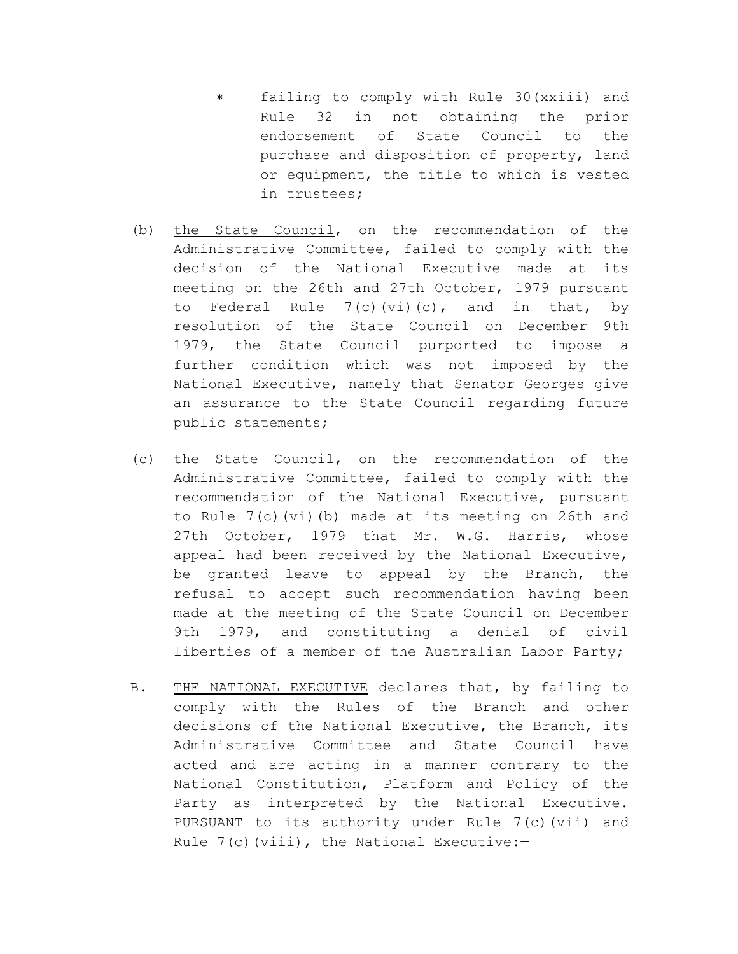- ∗ failing to comply with Rule 30(xxiii) and Rule 32 in not obtaining the prior endorsement of State Council to the purchase and disposition of property, land or equipment, the title to which is vested in trustees;
- (b) the State Council, on the recommendation of the Administrative Committee, failed to comply with the decision of the National Executive made at its meeting on the 26th and 27th October, 1979 pursuant to Federal Rule  $7(c)(vi)(c)$ , and in that, by resolution of the State Council on December 9th 1979, the State Council purported to impose a further condition which was not imposed by the National Executive, namely that Senator Georges give an assurance to the State Council regarding future public statements;
- (c) the State Council, on the recommendation of the Administrative Committee, failed to comply with the recommendation of the National Executive, pursuant to Rule 7(c)(vi)(b) made at its meeting on 26th and 27th October, 1979 that Mr. W.G. Harris, whose appeal had been received by the National Executive, be granted leave to appeal by the Branch, the refusal to accept such recommendation having been made at the meeting of the State Council on December 9th 1979, and constituting a denial of civil liberties of a member of the Australian Labor Party;
- B. THE NATIONAL EXECUTIVE declares that, by failing to comply with the Rules of the Branch and other decisions of the National Executive, the Branch, its Administrative Committee and State Council have acted and are acting in a manner contrary to the National Constitution, Platform and Policy of the Party as interpreted by the National Executive. PURSUANT to its authority under Rule 7(c)(vii) and Rule  $7(c)$  (viii), the National Executive:-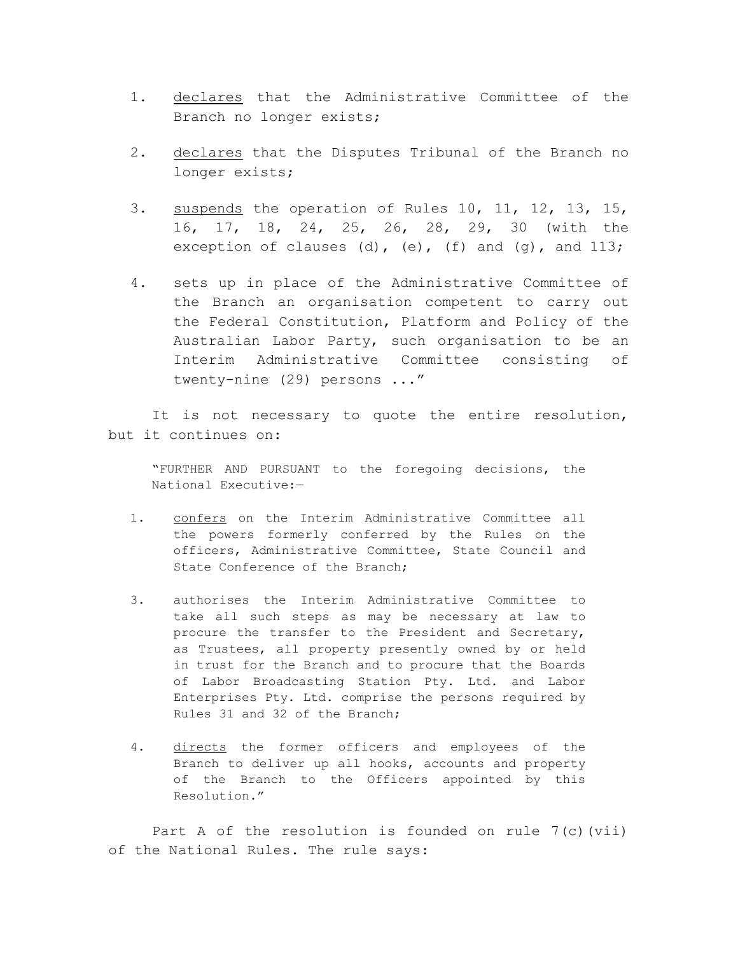- 1. declares that the Administrative Committee of the Branch no longer exists;
- 2. declares that the Disputes Tribunal of the Branch no longer exists;
- 3. suspends the operation of Rules 10, 11, 12, 13, 15, 16, 17, 18, 24, 25, 26, 28, 29, 30 (with the exception of clauses (d), (e), (f) and  $(q)$ , and  $113$ ;
- 4. sets up in place of the Administrative Committee of the Branch an organisation competent to carry out the Federal Constitution, Platform and Policy of the Australian Labor Party, such organisation to be an Interim Administrative Committee consisting of twenty-nine (29) persons ..."

It is not necessary to quote the entire resolution, but it continues on:

"FURTHER AND PURSUANT to the foregoing decisions, the National Executive:—

- 1. confers on the Interim Administrative Committee all the powers formerly conferred by the Rules on the officers, Administrative Committee, State Council and State Conference of the Branch;
- 3. authorises the Interim Administrative Committee to take all such steps as may be necessary at law to procure the transfer to the President and Secretary, as Trustees, all property presently owned by or held in trust for the Branch and to procure that the Boards of Labor Broadcasting Station Pty. Ltd. and Labor Enterprises Pty. Ltd. comprise the persons required by Rules 31 and 32 of the Branch;
- 4. directs the former officers and employees of the Branch to deliver up all hooks, accounts and property of the Branch to the Officers appointed by this Resolution."

Part A of the resolution is founded on rule 7(c)(vii) of the National Rules. The rule says: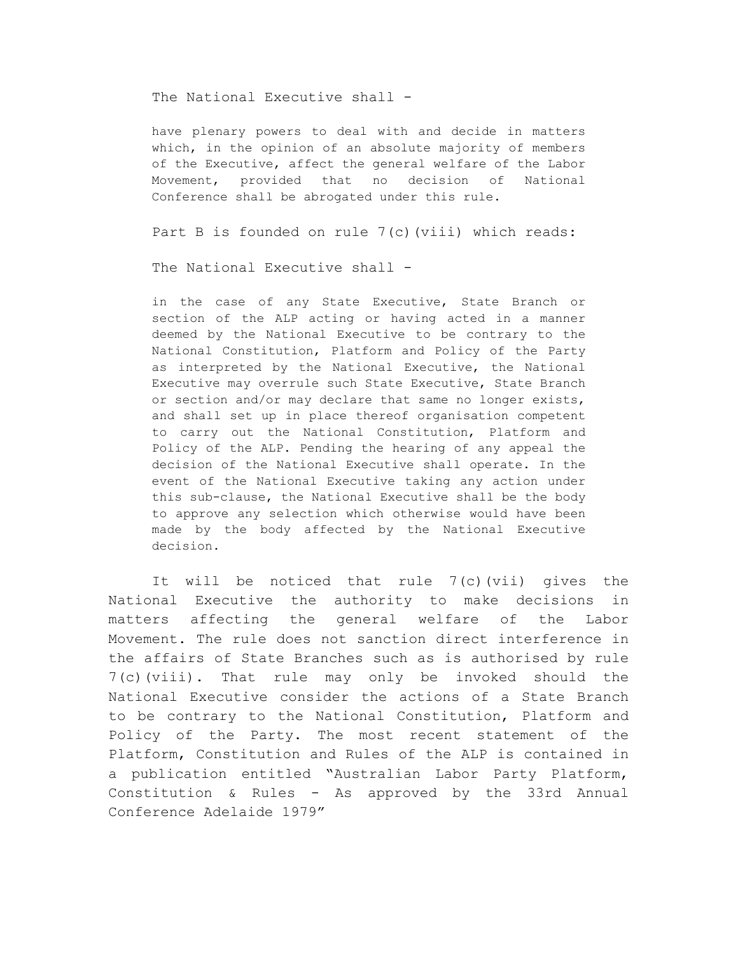The National Executive shall -

have plenary powers to deal with and decide in matters which, in the opinion of an absolute majority of members of the Executive, affect the general welfare of the Labor Movement, provided that no decision of National Conference shall be abrogated under this rule.

Part B is founded on rule  $7(c)$  (viii) which reads:

The National Executive shall -

in the case of any State Executive, State Branch or section of the ALP acting or having acted in a manner deemed by the National Executive to be contrary to the National Constitution, Platform and Policy of the Party as interpreted by the National Executive, the National Executive may overrule such State Executive, State Branch or section and/or may declare that same no longer exists, and shall set up in place thereof organisation competent to carry out the National Constitution, Platform and Policy of the ALP. Pending the hearing of any appeal the decision of the National Executive shall operate. In the event of the National Executive taking any action under this sub-clause, the National Executive shall be the body to approve any selection which otherwise would have been made by the body affected by the National Executive decision.

It will be noticed that rule 7(c)(vii) gives the National Executive the authority to make decisions in matters affecting the general welfare of the Labor Movement. The rule does not sanction direct interference in the affairs of State Branches such as is authorised by rule 7(c)(viii). That rule may only be invoked should the National Executive consider the actions of a State Branch to be contrary to the National Constitution, Platform and Policy of the Party. The most recent statement of the Platform, Constitution and Rules of the ALP is contained in a publication entitled "Australian Labor Party Platform, Constitution & Rules - As approved by the 33rd Annual Conference Adelaide 1979"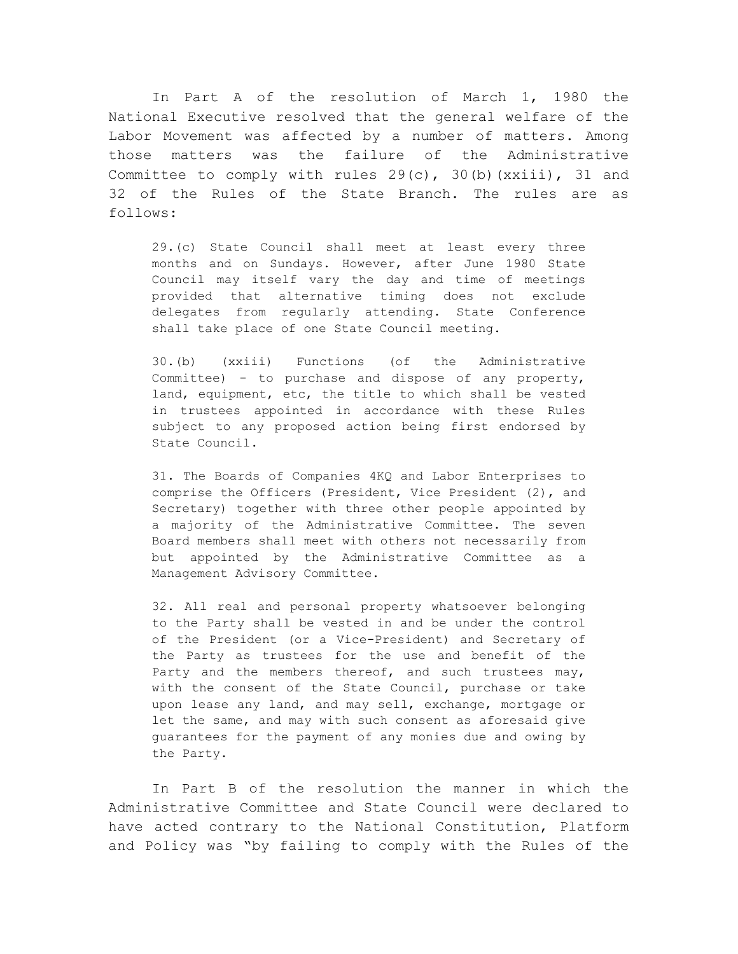In Part A of the resolution of March 1, 1980 the National Executive resolved that the general welfare of the Labor Movement was affected by a number of matters. Among those matters was the failure of the Administrative Committee to comply with rules  $29(c)$ ,  $30(b)$  (xxiii),  $31$  and 32 of the Rules of the State Branch. The rules are as follows:

29.(c) State Council shall meet at least every three months and on Sundays. However, after June 1980 State Council may itself vary the day and time of meetings provided that alternative timing does not exclude delegates from regularly attending. State Conference shall take place of one State Council meeting.

30.(b) (xxiii) Functions (of the Administrative Committee) - to purchase and dispose of any property, land, equipment, etc, the title to which shall be vested in trustees appointed in accordance with these Rules subject to any proposed action being first endorsed by State Council.

31. The Boards of Companies 4KQ and Labor Enterprises to comprise the Officers (President, Vice President (2), and Secretary) together with three other people appointed by a majority of the Administrative Committee. The seven Board members shall meet with others not necessarily from but appointed by the Administrative Committee as a Management Advisory Committee.

32. All real and personal property whatsoever belonging to the Party shall be vested in and be under the control of the President (or a Vice-President) and Secretary of the Party as trustees for the use and benefit of the Party and the members thereof, and such trustees may, with the consent of the State Council, purchase or take upon lease any land, and may sell, exchange, mortgage or let the same, and may with such consent as aforesaid give guarantees for the payment of any monies due and owing by the Party.

In Part B of the resolution the manner in which the Administrative Committee and State Council were declared to have acted contrary to the National Constitution, Platform and Policy was "by failing to comply with the Rules of the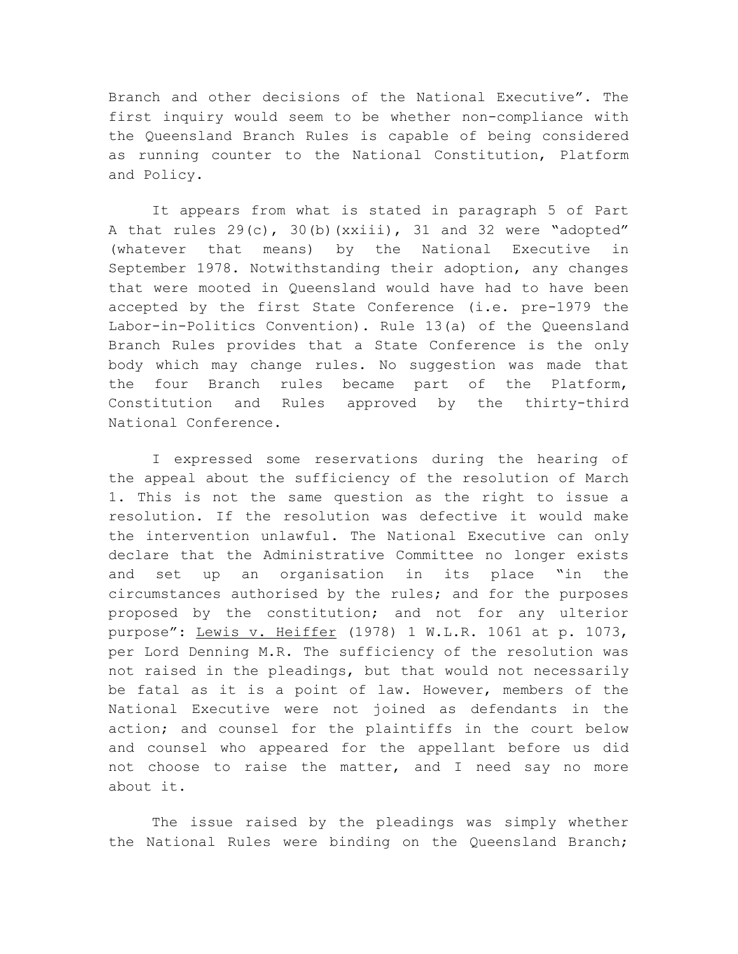Branch and other decisions of the National Executive". The first inquiry would seem to be whether non-compliance with the Queensland Branch Rules is capable of being considered as running counter to the National Constitution, Platform and Policy.

It appears from what is stated in paragraph 5 of Part A that rules  $29(c)$ ,  $30(b)$  (xxiii), 31 and 32 were "adopted" (whatever that means) by the National Executive in September 1978. Notwithstanding their adoption, any changes that were mooted in Queensland would have had to have been accepted by the first State Conference (i.e. pre-1979 the Labor-in-Politics Convention). Rule 13(a) of the Queensland Branch Rules provides that a State Conference is the only body which may change rules. No suggestion was made that the four Branch rules became part of the Platform, Constitution and Rules approved by the thirty-third National Conference.

I expressed some reservations during the hearing of the appeal about the sufficiency of the resolution of March 1. This is not the same question as the right to issue a resolution. If the resolution was defective it would make the intervention unlawful. The National Executive can only declare that the Administrative Committee no longer exists and set up an organisation in its place "in the circumstances authorised by the rules; and for the purposes proposed by the constitution; and not for any ulterior purpose": Lewis v. Heiffer (1978) 1 W.L.R. 1061 at p. 1073, per Lord Denning M.R. The sufficiency of the resolution was not raised in the pleadings, but that would not necessarily be fatal as it is a point of law. However, members of the National Executive were not joined as defendants in the action; and counsel for the plaintiffs in the court below and counsel who appeared for the appellant before us did not choose to raise the matter, and I need say no more about it.

The issue raised by the pleadings was simply whether the National Rules were binding on the Queensland Branch;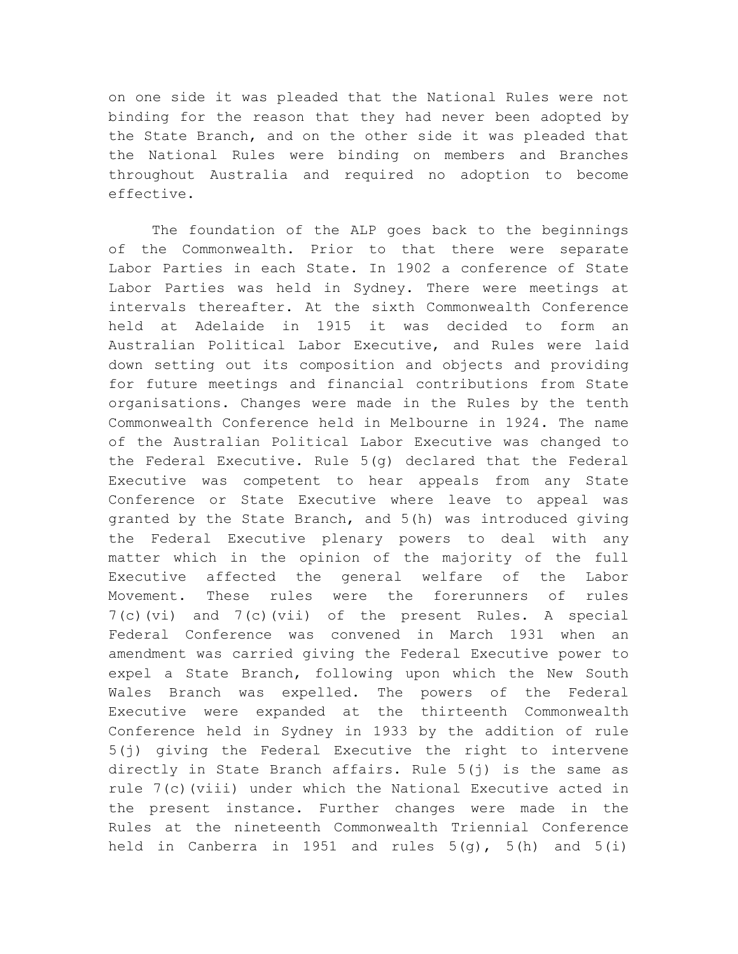on one side it was pleaded that the National Rules were not binding for the reason that they had never been adopted by the State Branch, and on the other side it was pleaded that the National Rules were binding on members and Branches throughout Australia and required no adoption to become effective.

The foundation of the ALP goes back to the beginnings of the Commonwealth. Prior to that there were separate Labor Parties in each State. In 1902 a conference of State Labor Parties was held in Sydney. There were meetings at intervals thereafter. At the sixth Commonwealth Conference held at Adelaide in 1915 it was decided to form an Australian Political Labor Executive, and Rules were laid down setting out its composition and objects and providing for future meetings and financial contributions from State organisations. Changes were made in the Rules by the tenth Commonwealth Conference held in Melbourne in 1924. The name of the Australian Political Labor Executive was changed to the Federal Executive. Rule 5(g) declared that the Federal Executive was competent to hear appeals from any State Conference or State Executive where leave to appeal was granted by the State Branch, and 5(h) was introduced giving the Federal Executive plenary powers to deal with any matter which in the opinion of the majority of the full Executive affected the general welfare of the Labor Movement. These rules were the forerunners of rules 7(c)(vi) and 7(c)(vii) of the present Rules. A special Federal Conference was convened in March 1931 when an amendment was carried giving the Federal Executive power to expel a State Branch, following upon which the New South Wales Branch was expelled. The powers of the Federal Executive were expanded at the thirteenth Commonwealth Conference held in Sydney in 1933 by the addition of rule 5(j) giving the Federal Executive the right to intervene directly in State Branch affairs. Rule 5(j) is the same as rule 7(c)(viii) under which the National Executive acted in the present instance. Further changes were made in the Rules at the nineteenth Commonwealth Triennial Conference held in Canberra in 1951 and rules  $5(q)$ ,  $5(h)$  and  $5(i)$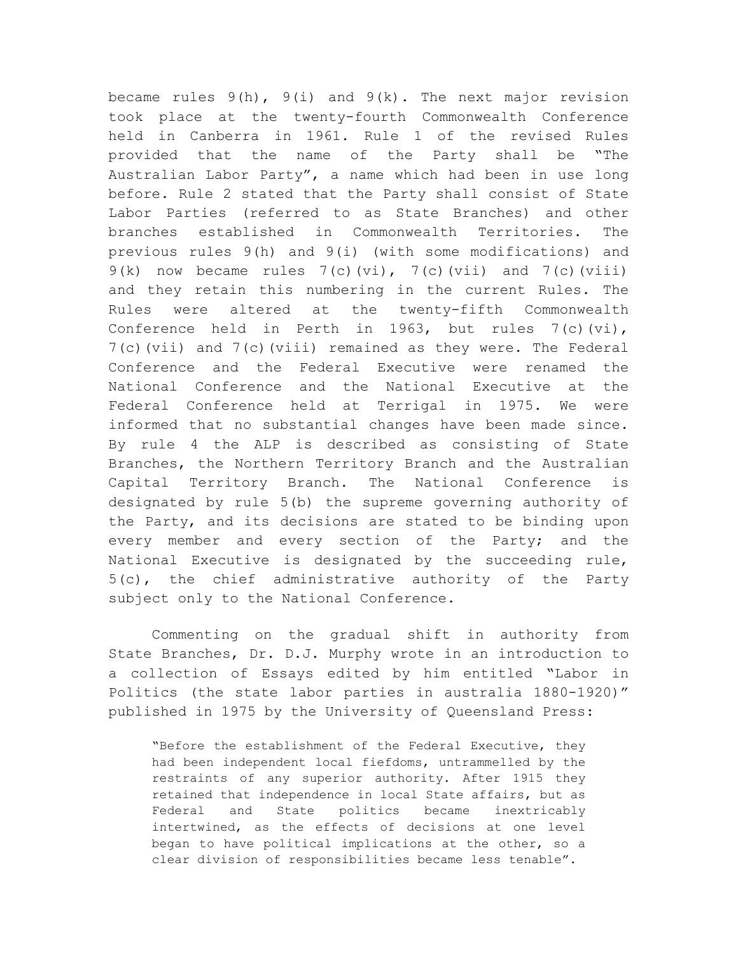became rules  $9(h)$ ,  $9(i)$  and  $9(k)$ . The next major revision took place at the twenty-fourth Commonwealth Conference held in Canberra in 1961. Rule 1 of the revised Rules provided that the name of the Party shall be "The Australian Labor Party", a name which had been in use long before. Rule 2 stated that the Party shall consist of State Labor Parties (referred to as State Branches) and other branches established in Commonwealth Territories. The previous rules 9(h) and 9(i) (with some modifications) and  $9(k)$  now became rules  $7(c)(vi)$ ,  $7(c)(vii)$  and  $7(c)(viii)$ and they retain this numbering in the current Rules. The Rules were altered at the twenty-fifth Commonwealth Conference held in Perth in 1963, but rules  $7(c)(vi)$ , 7(c)(vii) and 7(c)(viii) remained as they were. The Federal Conference and the Federal Executive were renamed the National Conference and the National Executive at the Federal Conference held at Terrigal in 1975. We were informed that no substantial changes have been made since. By rule 4 the ALP is described as consisting of State Branches, the Northern Territory Branch and the Australian Capital Territory Branch. The National Conference is designated by rule 5(b) the supreme governing authority of the Party, and its decisions are stated to be binding upon every member and every section of the Party; and the National Executive is designated by the succeeding rule, 5(c), the chief administrative authority of the Party subject only to the National Conference.

Commenting on the gradual shift in authority from State Branches, Dr. D.J. Murphy wrote in an introduction to a collection of Essays edited by him entitled "Labor in Politics (the state labor parties in australia 1880-1920)" published in 1975 by the University of Queensland Press:

"Before the establishment of the Federal Executive, they had been independent local fiefdoms, untrammelled by the restraints of any superior authority. After 1915 they retained that independence in local State affairs, but as Federal and State politics became inextricably intertwined, as the effects of decisions at one level began to have political implications at the other, so a clear division of responsibilities became less tenable".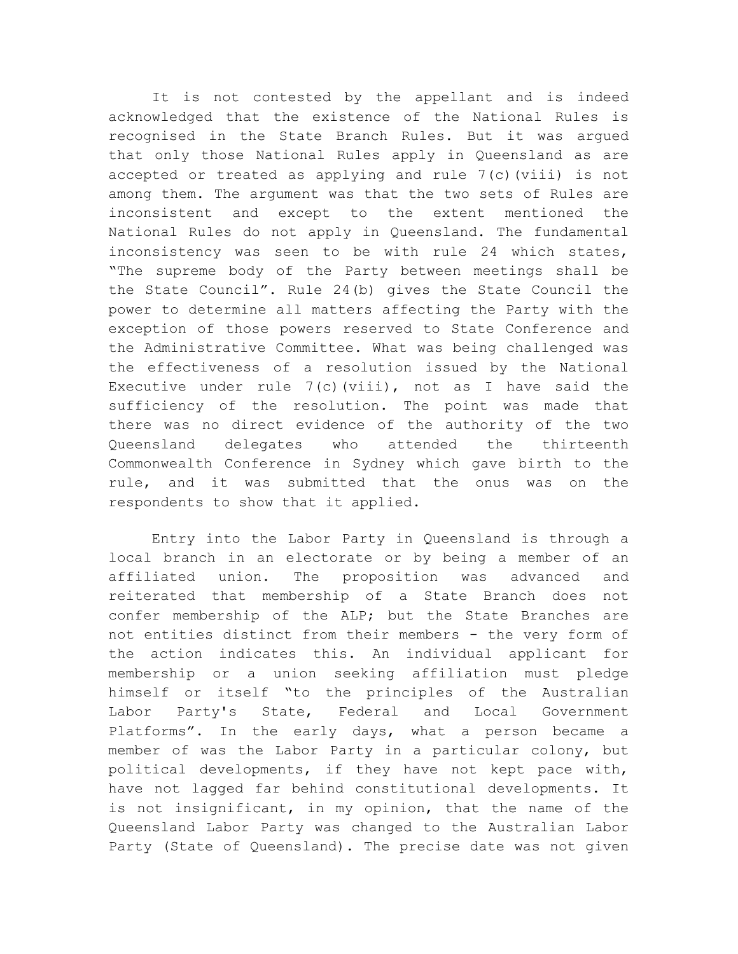It is not contested by the appellant and is indeed acknowledged that the existence of the National Rules is recognised in the State Branch Rules. But it was argued that only those National Rules apply in Queensland as are accepted or treated as applying and rule 7(c)(viii) is not among them. The argument was that the two sets of Rules are inconsistent and except to the extent mentioned the National Rules do not apply in Queensland. The fundamental inconsistency was seen to be with rule 24 which states, "The supreme body of the Party between meetings shall be the State Council". Rule 24(b) gives the State Council the power to determine all matters affecting the Party with the exception of those powers reserved to State Conference and the Administrative Committee. What was being challenged was the effectiveness of a resolution issued by the National Executive under rule  $7(c)$  (viii), not as I have said the sufficiency of the resolution. The point was made that there was no direct evidence of the authority of the two Queensland delegates who attended the thirteenth Commonwealth Conference in Sydney which gave birth to the rule, and it was submitted that the onus was on the respondents to show that it applied.

Entry into the Labor Party in Queensland is through a local branch in an electorate or by being a member of an affiliated union. The proposition was advanced and reiterated that membership of a State Branch does not confer membership of the ALP; but the State Branches are not entities distinct from their members - the very form of the action indicates this. An individual applicant for membership or a union seeking affiliation must pledge himself or itself "to the principles of the Australian Labor Party's State, Federal and Local Government Platforms". In the early days, what a person became a member of was the Labor Party in a particular colony, but political developments, if they have not kept pace with, have not lagged far behind constitutional developments. It is not insignificant, in my opinion, that the name of the Queensland Labor Party was changed to the Australian Labor Party (State of Queensland). The precise date was not given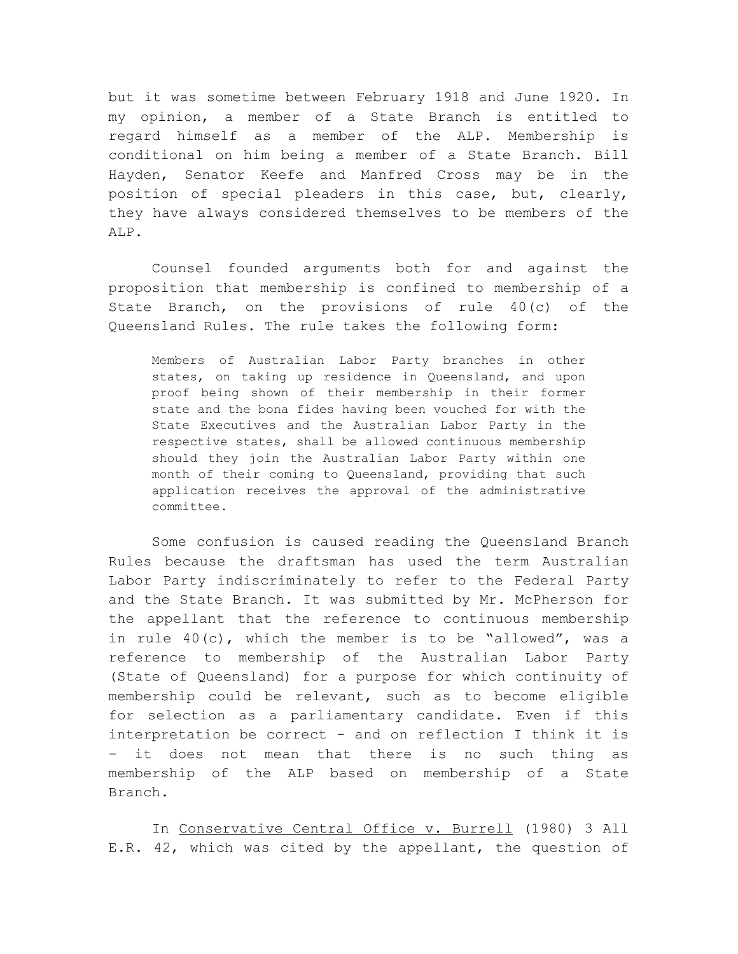but it was sometime between February 1918 and June 1920. In my opinion, a member of a State Branch is entitled to regard himself as a member of the ALP. Membership is conditional on him being a member of a State Branch. Bill Hayden, Senator Keefe and Manfred Cross may be in the position of special pleaders in this case, but, clearly, they have always considered themselves to be members of the ALP.

Counsel founded arguments both for and against the proposition that membership is confined to membership of a State Branch, on the provisions of rule 40(c) of the Queensland Rules. The rule takes the following form:

Members of Australian Labor Party branches in other states, on taking up residence in Queensland, and upon proof being shown of their membership in their former state and the bona fides having been vouched for with the State Executives and the Australian Labor Party in the respective states, shall be allowed continuous membership should they join the Australian Labor Party within one month of their coming to Queensland, providing that such application receives the approval of the administrative committee.

Some confusion is caused reading the Queensland Branch Rules because the draftsman has used the term Australian Labor Party indiscriminately to refer to the Federal Party and the State Branch. It was submitted by Mr. McPherson for the appellant that the reference to continuous membership in rule 40(c), which the member is to be "allowed", was a reference to membership of the Australian Labor Party (State of Queensland) for a purpose for which continuity of membership could be relevant, such as to become eligible for selection as a parliamentary candidate. Even if this interpretation be correct - and on reflection I think it is - it does not mean that there is no such thing as membership of the ALP based on membership of a State Branch.

In Conservative Central Office v. Burrell (1980) 3 All E.R. 42, which was cited by the appellant, the question of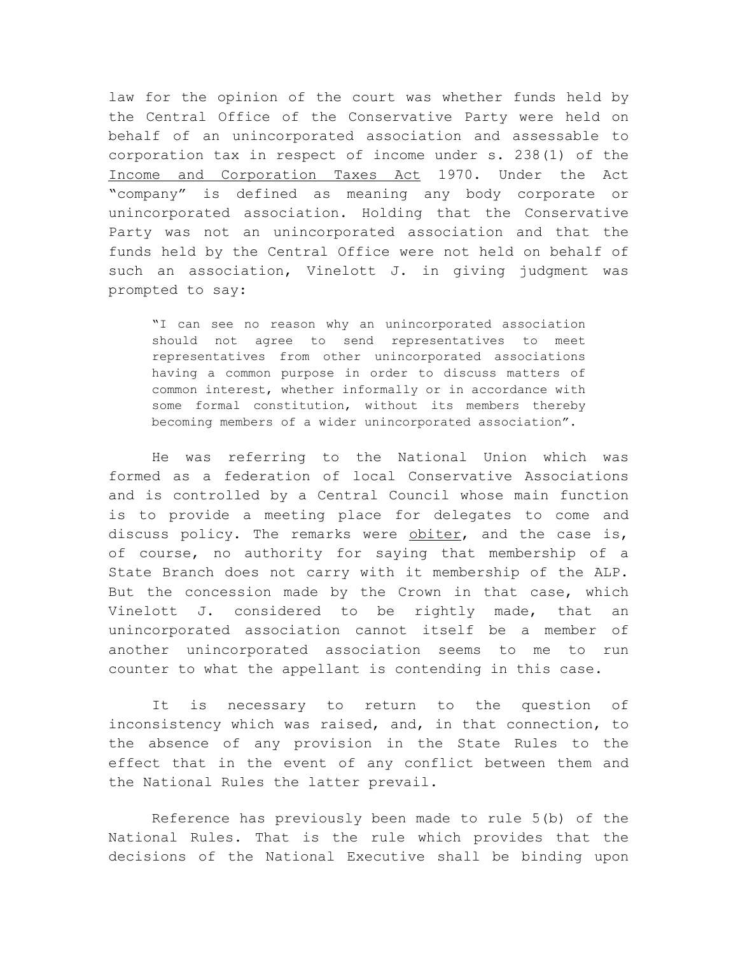law for the opinion of the court was whether funds held by the Central Office of the Conservative Party were held on behalf of an unincorporated association and assessable to corporation tax in respect of income under s. 238(1) of the Income and Corporation Taxes Act 1970. Under the Act "company" is defined as meaning any body corporate or unincorporated association. Holding that the Conservative Party was not an unincorporated association and that the funds held by the Central Office were not held on behalf of such an association, Vinelott J. in giving judgment was prompted to say:

"I can see no reason why an unincorporated association should not agree to send representatives to meet representatives from other unincorporated associations having a common purpose in order to discuss matters of common interest, whether informally or in accordance with some formal constitution, without its members thereby becoming members of a wider unincorporated association".

He was referring to the National Union which was formed as a federation of local Conservative Associations and is controlled by a Central Council whose main function is to provide a meeting place for delegates to come and discuss policy. The remarks were obiter, and the case is, of course, no authority for saying that membership of a State Branch does not carry with it membership of the ALP. But the concession made by the Crown in that case, which Vinelott J. considered to be rightly made, that an unincorporated association cannot itself be a member of another unincorporated association seems to me to run counter to what the appellant is contending in this case.

It is necessary to return to the question of inconsistency which was raised, and, in that connection, to the absence of any provision in the State Rules to the effect that in the event of any conflict between them and the National Rules the latter prevail.

Reference has previously been made to rule 5(b) of the National Rules. That is the rule which provides that the decisions of the National Executive shall be binding upon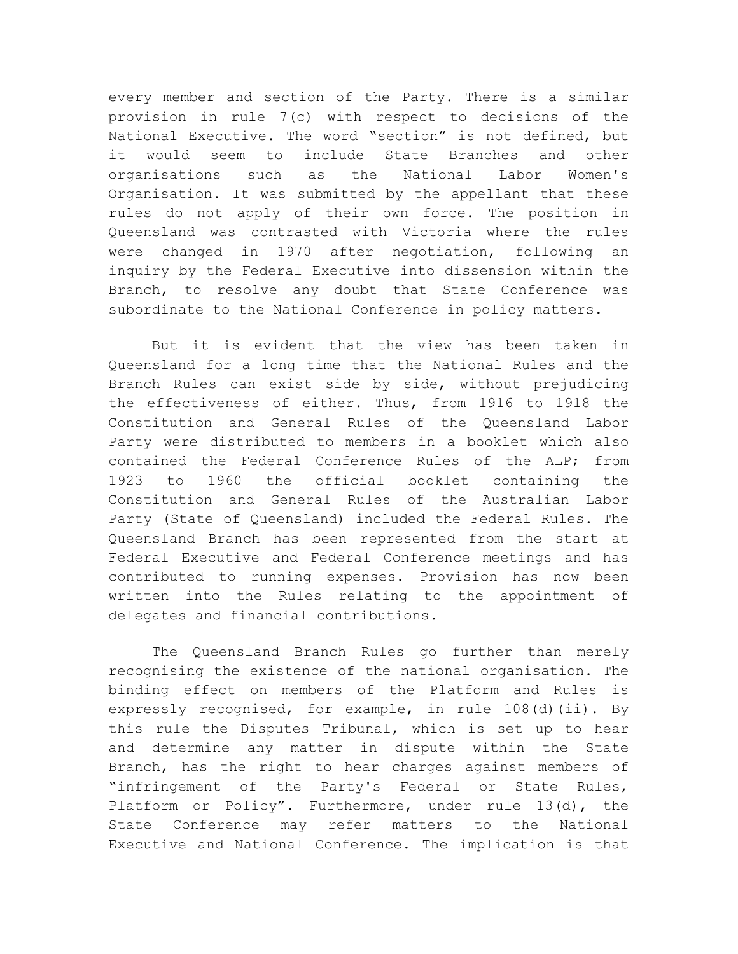every member and section of the Party. There is a similar provision in rule 7(c) with respect to decisions of the National Executive. The word "section" is not defined, but it would seem to include State Branches and other organisations such as the National Labor Women's Organisation. It was submitted by the appellant that these rules do not apply of their own force. The position in Queensland was contrasted with Victoria where the rules were changed in 1970 after negotiation, following an inquiry by the Federal Executive into dissension within the Branch, to resolve any doubt that State Conference was subordinate to the National Conference in policy matters.

But it is evident that the view has been taken in Queensland for a long time that the National Rules and the Branch Rules can exist side by side, without prejudicing the effectiveness of either. Thus, from 1916 to 1918 the Constitution and General Rules of the Queensland Labor Party were distributed to members in a booklet which also contained the Federal Conference Rules of the ALP; from 1923 to 1960 the official booklet containing the Constitution and General Rules of the Australian Labor Party (State of Queensland) included the Federal Rules. The Queensland Branch has been represented from the start at Federal Executive and Federal Conference meetings and has contributed to running expenses. Provision has now been written into the Rules relating to the appointment of delegates and financial contributions.

The Queensland Branch Rules go further than merely recognising the existence of the national organisation. The binding effect on members of the Platform and Rules is expressly recognised, for example, in rule 108(d)(ii). By this rule the Disputes Tribunal, which is set up to hear and determine any matter in dispute within the State Branch, has the right to hear charges against members of "infringement of the Party's Federal or State Rules, Platform or Policy". Furthermore, under rule 13(d), the State Conference may refer matters to the National Executive and National Conference. The implication is that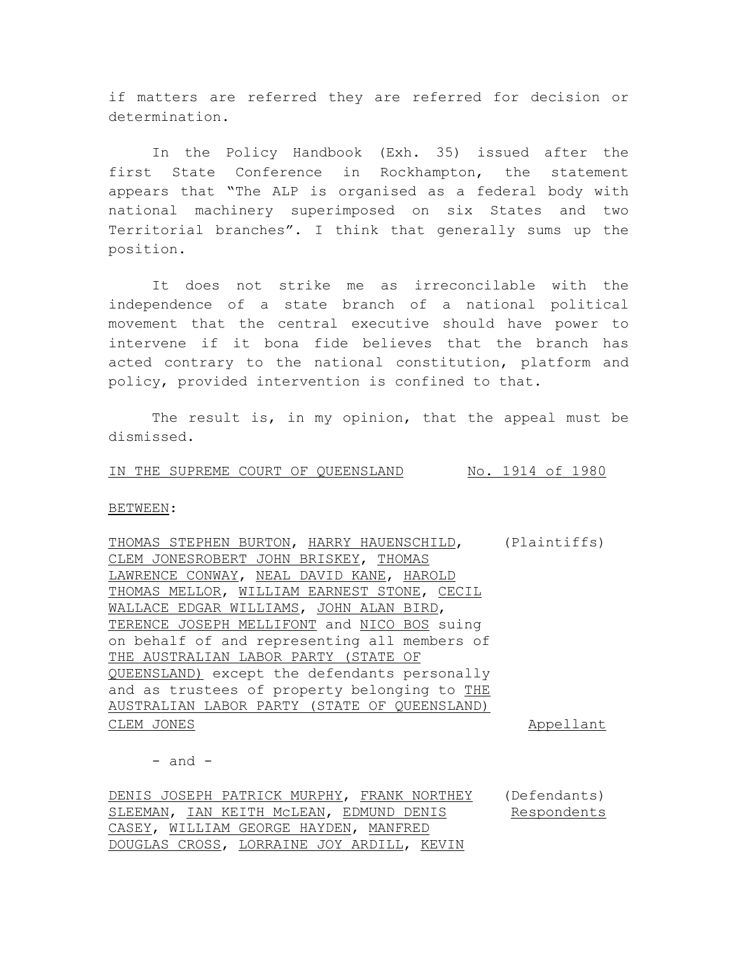if matters are referred they are referred for decision or determination.

In the Policy Handbook (Exh. 35) issued after the first State Conference in Rockhampton, the statement appears that "The ALP is organised as a federal body with national machinery superimposed on six States and two Territorial branches". I think that generally sums up the position.

It does not strike me as irreconcilable with the independence of a state branch of a national political movement that the central executive should have power to intervene if it bona fide believes that the branch has acted contrary to the national constitution, platform and policy, provided intervention is confined to that.

The result is, in my opinion, that the appeal must be dismissed.

IN THE SUPREME COURT OF QUEENSLAND No. 1914 of 1980

BETWEEN:

THOMAS STEPHEN BURTON, HARRY HAUENSCHILD, (Plaintiffs) CLEM JONESROBERT JOHN BRISKEY, THOMAS LAWRENCE CONWAY, NEAL DAVID KANE, HAROLD THOMAS MELLOR, WILLIAM EARNEST STONE, CECIL WALLACE EDGAR WILLIAMS, JOHN ALAN BIRD, TERENCE JOSEPH MELLIFONT and NICO BOS suing on behalf of and representing all members of THE AUSTRALIAN LABOR PARTY (STATE OF QUEENSLAND) except the defendants personally and as trustees of property belonging to THE AUSTRALIAN LABOR PARTY (STATE OF QUEENSLAND) CLEM JONES **Appellant** 

 $-$  and  $-$ 

DENIS JOSEPH PATRICK MURPHY, FRANK NORTHEY (Defendants) SLEEMAN, IAN KEITH McLEAN, EDMUND DENIS CASEY, WILLIAM GEORGE HAYDEN, MANFRED DOUGLAS CROSS, LORRAINE JOY ARDILL, KEVIN Respondents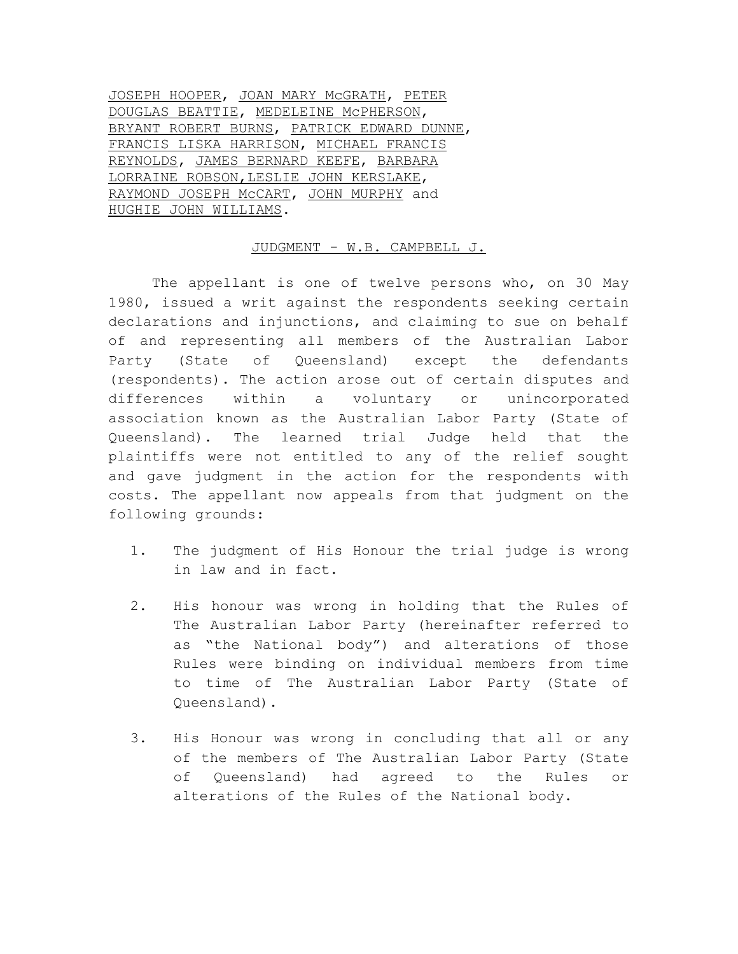JOSEPH HOOPER, JOAN MARY McGRATH, PETER DOUGLAS BEATTIE, MEDELEINE McPHERSON, BRYANT ROBERT BURNS, PATRICK EDWARD DUNNE, FRANCIS LISKA HARRISON, MICHAEL FRANCIS REYNOLDS, JAMES BERNARD KEEFE, BARBARA LORRAINE ROBSON,LESLIE JOHN KERSLAKE, RAYMOND JOSEPH McCART, JOHN MURPHY and HUGHIE JOHN WILLIAMS.

### JUDGMENT - W.B. CAMPBELL J.

The appellant is one of twelve persons who, on 30 May 1980, issued a writ against the respondents seeking certain declarations and injunctions, and claiming to sue on behalf of and representing all members of the Australian Labor Party (State of Queensland) except the defendants (respondents). The action arose out of certain disputes and differences within a voluntary or unincorporated association known as the Australian Labor Party (State of Queensland). The learned trial Judge held that the plaintiffs were not entitled to any of the relief sought and gave judgment in the action for the respondents with costs. The appellant now appeals from that judgment on the following grounds:

- 1. The judgment of His Honour the trial judge is wrong in law and in fact.
- 2. His honour was wrong in holding that the Rules of The Australian Labor Party (hereinafter referred to as "the National body") and alterations of those Rules were binding on individual members from time to time of The Australian Labor Party (State of Queensland).
- 3. His Honour was wrong in concluding that all or any of the members of The Australian Labor Party (State of Queensland) had agreed to the Rules or alterations of the Rules of the National body.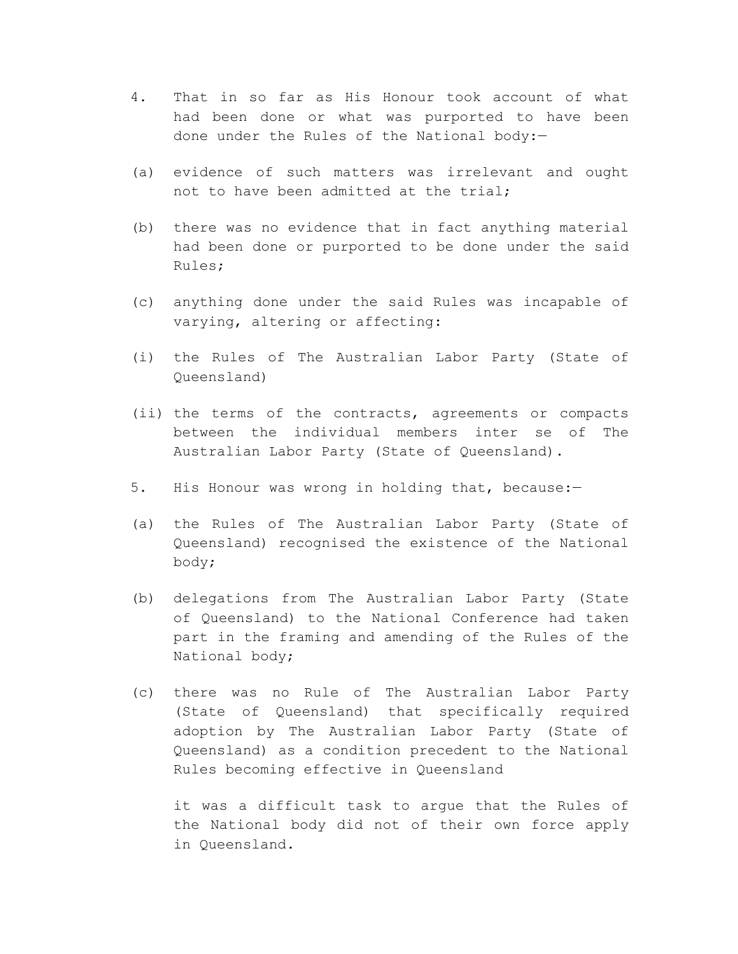- 4. That in so far as His Honour took account of what had been done or what was purported to have been done under the Rules of the National body:—
- (a) evidence of such matters was irrelevant and ought not to have been admitted at the trial;
- (b) there was no evidence that in fact anything material had been done or purported to be done under the said Rules;
- (c) anything done under the said Rules was incapable of varying, altering or affecting:
- (i) the Rules of The Australian Labor Party (State of Queensland)
- (ii) the terms of the contracts, agreements or compacts between the individual members inter se of The Australian Labor Party (State of Queensland).
- 5. His Honour was wrong in holding that, because:—
- (a) the Rules of The Australian Labor Party (State of Queensland) recognised the existence of the National body;
- (b) delegations from The Australian Labor Party (State of Queensland) to the National Conference had taken part in the framing and amending of the Rules of the National body;
- (c) there was no Rule of The Australian Labor Party (State of Queensland) that specifically required adoption by The Australian Labor Party (State of Queensland) as a condition precedent to the National Rules becoming effective in Queensland

it was a difficult task to argue that the Rules of the National body did not of their own force apply in Queensland.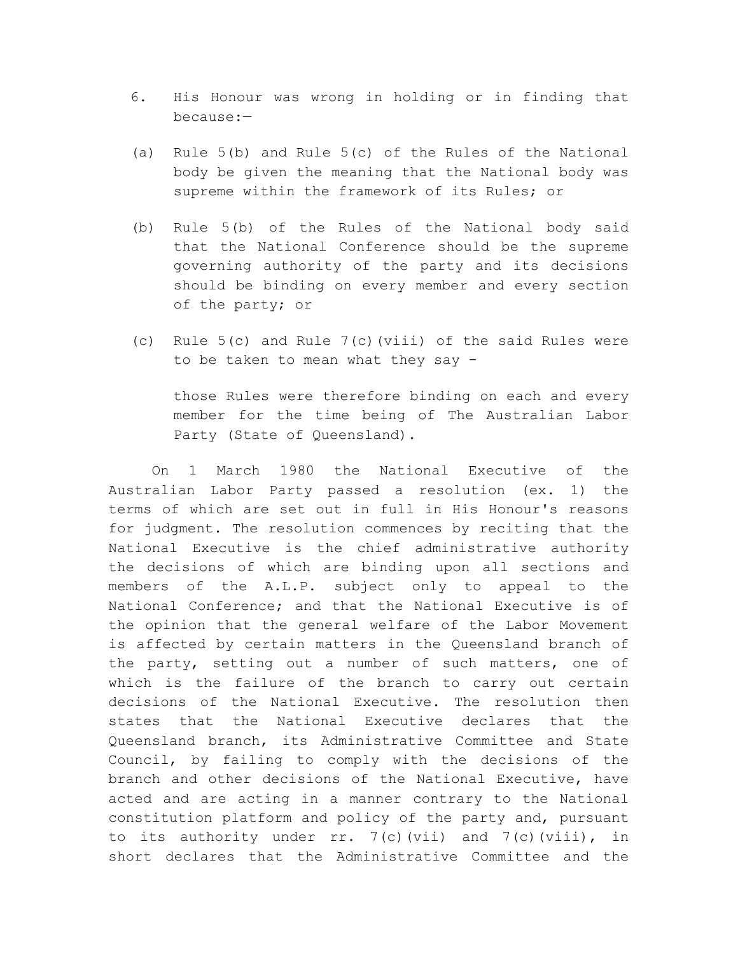- 6. His Honour was wrong in holding or in finding that because:—
- (a) Rule 5(b) and Rule 5(c) of the Rules of the National body be given the meaning that the National body was supreme within the framework of its Rules; or
- (b) Rule 5(b) of the Rules of the National body said that the National Conference should be the supreme governing authority of the party and its decisions should be binding on every member and every section of the party; or
- (c) Rule 5(c) and Rule 7(c)(viii) of the said Rules were to be taken to mean what they say -

those Rules were therefore binding on each and every member for the time being of The Australian Labor Party (State of Queensland).

On 1 March 1980 the National Executive of the Australian Labor Party passed a resolution (ex. 1) the terms of which are set out in full in His Honour's reasons for judgment. The resolution commences by reciting that the National Executive is the chief administrative authority the decisions of which are binding upon all sections and members of the A.L.P. subject only to appeal to the National Conference; and that the National Executive is of the opinion that the general welfare of the Labor Movement is affected by certain matters in the Queensland branch of the party, setting out a number of such matters, one of which is the failure of the branch to carry out certain decisions of the National Executive. The resolution then states that the National Executive declares that the Queensland branch, its Administrative Committee and State Council, by failing to comply with the decisions of the branch and other decisions of the National Executive, have acted and are acting in a manner contrary to the National constitution platform and policy of the party and, pursuant to its authority under  $rr. 7(c)$  (vii) and  $7(c)$  (viii), in short declares that the Administrative Committee and the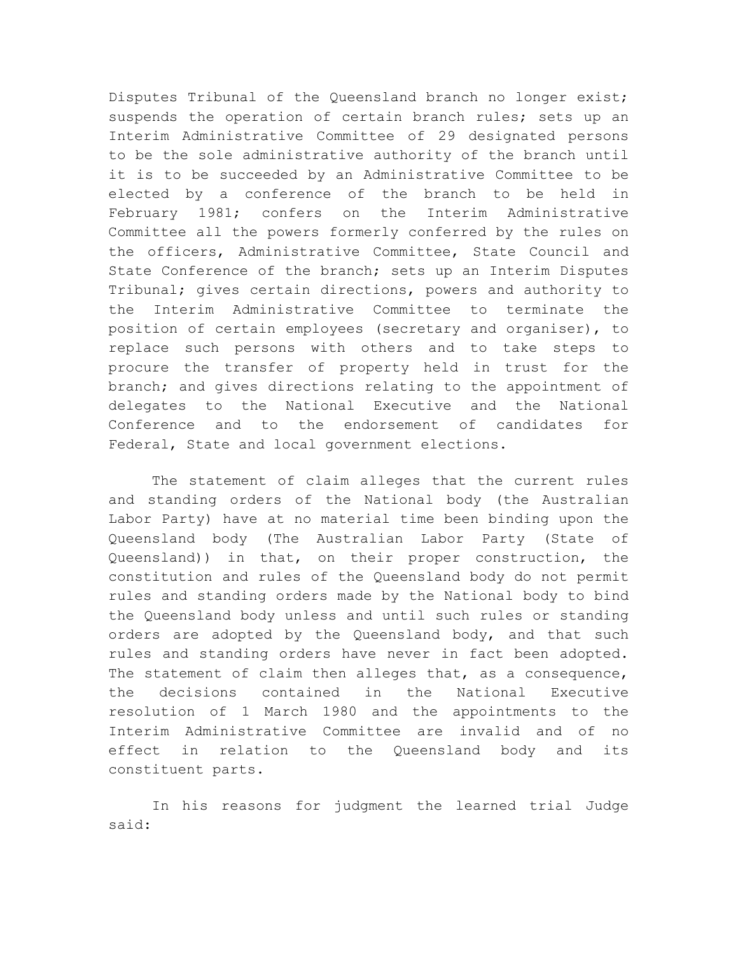Disputes Tribunal of the Queensland branch no longer exist; suspends the operation of certain branch rules; sets up an Interim Administrative Committee of 29 designated persons to be the sole administrative authority of the branch until it is to be succeeded by an Administrative Committee to be elected by a conference of the branch to be held in February 1981; confers on the Interim Administrative Committee all the powers formerly conferred by the rules on the officers, Administrative Committee, State Council and State Conference of the branch; sets up an Interim Disputes Tribunal; gives certain directions, powers and authority to the Interim Administrative Committee to terminate the position of certain employees (secretary and organiser), to replace such persons with others and to take steps to procure the transfer of property held in trust for the branch; and gives directions relating to the appointment of delegates to the National Executive and the National Conference and to the endorsement of candidates for Federal, State and local government elections.

The statement of claim alleges that the current rules and standing orders of the National body (the Australian Labor Party) have at no material time been binding upon the Queensland body (The Australian Labor Party (State of Queensland)) in that, on their proper construction, the constitution and rules of the Queensland body do not permit rules and standing orders made by the National body to bind the Queensland body unless and until such rules or standing orders are adopted by the Queensland body, and that such rules and standing orders have never in fact been adopted. The statement of claim then alleges that, as a consequence, the decisions contained in the National Executive resolution of 1 March 1980 and the appointments to the Interim Administrative Committee are invalid and of no effect in relation to the Queensland body and its constituent parts.

In his reasons for judgment the learned trial Judge said: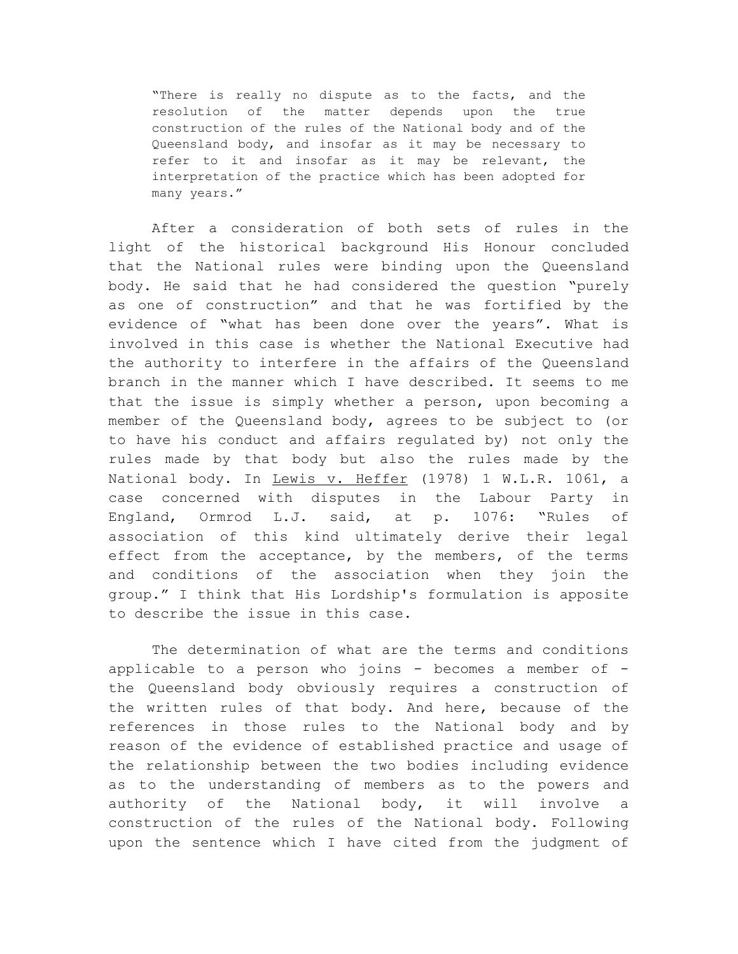"There is really no dispute as to the facts, and the resolution of the matter depends upon the true construction of the rules of the National body and of the Queensland body, and insofar as it may be necessary to refer to it and insofar as it may be relevant, the interpretation of the practice which has been adopted for many years."

After a consideration of both sets of rules in the light of the historical background His Honour concluded that the National rules were binding upon the Queensland body. He said that he had considered the question "purely as one of construction" and that he was fortified by the evidence of "what has been done over the years". What is involved in this case is whether the National Executive had the authority to interfere in the affairs of the Queensland branch in the manner which I have described. It seems to me that the issue is simply whether a person, upon becoming a member of the Queensland body, agrees to be subject to (or to have his conduct and affairs regulated by) not only the rules made by that body but also the rules made by the National body. In Lewis v. Heffer (1978) 1 W.L.R. 1061, a case concerned with disputes in the Labour Party in England, Ormrod L.J. said, at p. 1076: "Rules of association of this kind ultimately derive their legal effect from the acceptance, by the members, of the terms and conditions of the association when they join the group." I think that His Lordship's formulation is apposite to describe the issue in this case.

The determination of what are the terms and conditions applicable to a person who joins - becomes a member of the Queensland body obviously requires a construction of the written rules of that body. And here, because of the references in those rules to the National body and by reason of the evidence of established practice and usage of the relationship between the two bodies including evidence as to the understanding of members as to the powers and authority of the National body, it will involve a construction of the rules of the National body. Following upon the sentence which I have cited from the judgment of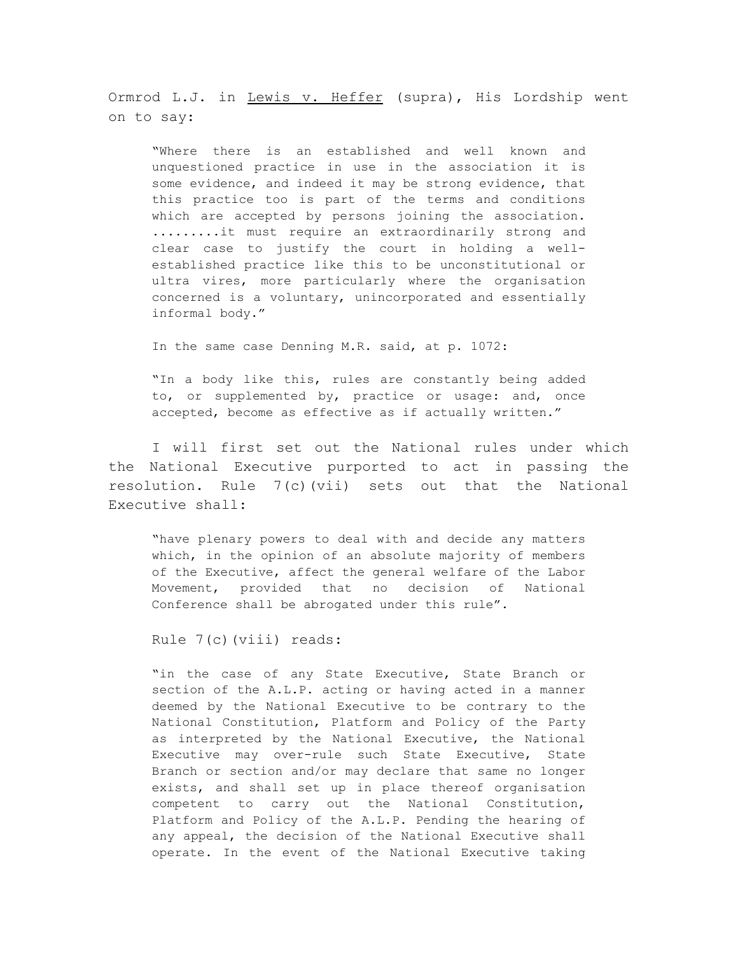Ormrod L.J. in Lewis v. Heffer (supra), His Lordship went on to say:

"Where there is an established and well known and unquestioned practice in use in the association it is some evidence, and indeed it may be strong evidence, that this practice too is part of the terms and conditions which are accepted by persons joining the association. .........it must require an extraordinarily strong and clear case to justify the court in holding a wellestablished practice like this to be unconstitutional or ultra vires, more particularly where the organisation concerned is a voluntary, unincorporated and essentially informal body."

In the same case Denning M.R. said, at p. 1072:

"In a body like this, rules are constantly being added to, or supplemented by, practice or usage: and, once accepted, become as effective as if actually written."

I will first set out the National rules under which the National Executive purported to act in passing the resolution. Rule 7(c)(vii) sets out that the National Executive shall:

"have plenary powers to deal with and decide any matters which, in the opinion of an absolute majority of members of the Executive, affect the general welfare of the Labor Movement, provided that no decision of National Conference shall be abrogated under this rule".

Rule 7(c)(viii) reads:

"in the case of any State Executive, State Branch or section of the A.L.P. acting or having acted in a manner deemed by the National Executive to be contrary to the National Constitution, Platform and Policy of the Party as interpreted by the National Executive, the National Executive may over-rule such State Executive, State Branch or section and/or may declare that same no longer exists, and shall set up in place thereof organisation competent to carry out the National Constitution, Platform and Policy of the A.L.P. Pending the hearing of any appeal, the decision of the National Executive shall operate. In the event of the National Executive taking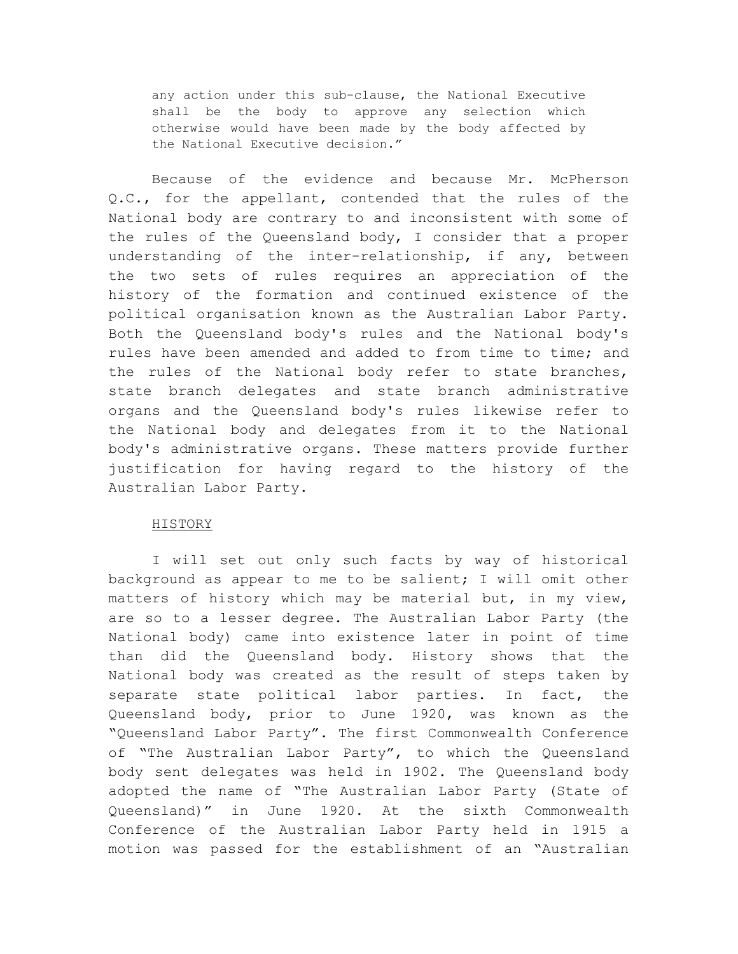any action under this sub-clause, the National Executive shall be the body to approve any selection which otherwise would have been made by the body affected by the National Executive decision."

Because of the evidence and because Mr. McPherson Q.C., for the appellant, contended that the rules of the National body are contrary to and inconsistent with some of the rules of the Queensland body, I consider that a proper understanding of the inter-relationship, if any, between the two sets of rules requires an appreciation of the history of the formation and continued existence of the political organisation known as the Australian Labor Party. Both the Queensland body's rules and the National body's rules have been amended and added to from time to time; and the rules of the National body refer to state branches, state branch delegates and state branch administrative organs and the Queensland body's rules likewise refer to the National body and delegates from it to the National body's administrative organs. These matters provide further justification for having regard to the history of the Australian Labor Party.

#### HISTORY

I will set out only such facts by way of historical background as appear to me to be salient; I will omit other matters of history which may be material but, in my view, are so to a lesser degree. The Australian Labor Party (the National body) came into existence later in point of time than did the Queensland body. History shows that the National body was created as the result of steps taken by separate state political labor parties. In fact, the Queensland body, prior to June 1920, was known as the "Queensland Labor Party". The first Commonwealth Conference of "The Australian Labor Party", to which the Queensland body sent delegates was held in 1902. The Queensland body adopted the name of "The Australian Labor Party (State of Queensland)" in June 1920. At the sixth Commonwealth Conference of the Australian Labor Party held in 1915 a motion was passed for the establishment of an "Australian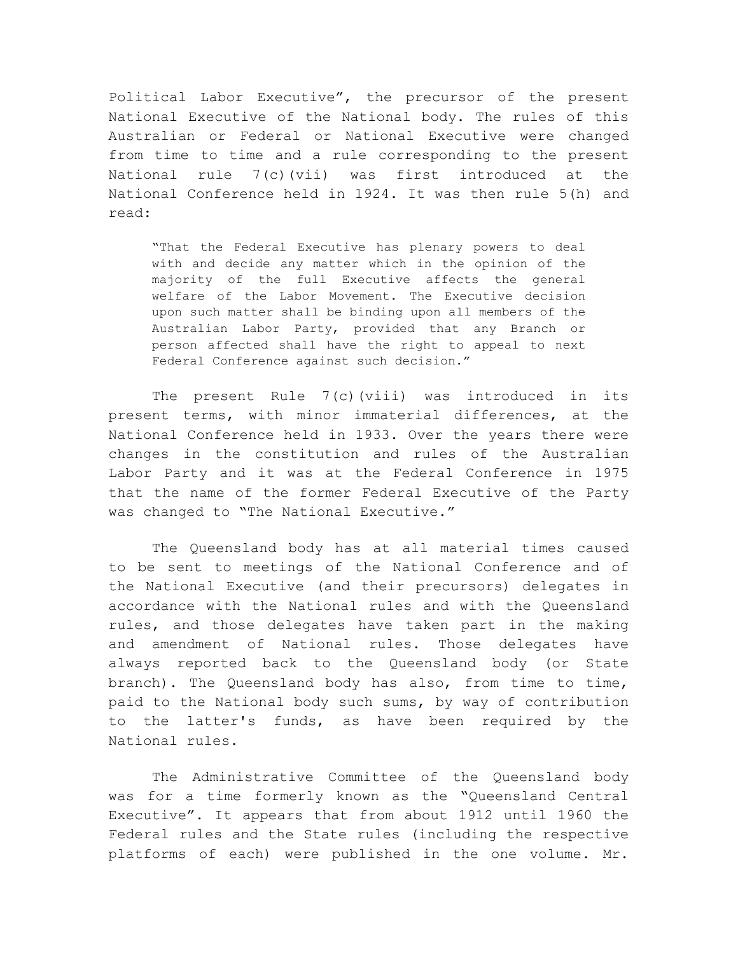Political Labor Executive", the precursor of the present National Executive of the National body. The rules of this Australian or Federal or National Executive were changed from time to time and a rule corresponding to the present National rule 7(c)(vii) was first introduced at the National Conference held in 1924. It was then rule 5(h) and read:

"That the Federal Executive has plenary powers to deal with and decide any matter which in the opinion of the majority of the full Executive affects the general welfare of the Labor Movement. The Executive decision upon such matter shall be binding upon all members of the Australian Labor Party, provided that any Branch or person affected shall have the right to appeal to next Federal Conference against such decision."

The present Rule  $7(c)$  (viii) was introduced in its present terms, with minor immaterial differences, at the National Conference held in 1933. Over the years there were changes in the constitution and rules of the Australian Labor Party and it was at the Federal Conference in 1975 that the name of the former Federal Executive of the Party was changed to "The National Executive."

The Queensland body has at all material times caused to be sent to meetings of the National Conference and of the National Executive (and their precursors) delegates in accordance with the National rules and with the Queensland rules, and those delegates have taken part in the making and amendment of National rules. Those delegates have always reported back to the Queensland body (or State branch). The Queensland body has also, from time to time, paid to the National body such sums, by way of contribution to the latter's funds, as have been required by the National rules.

The Administrative Committee of the Queensland body was for a time formerly known as the "Queensland Central Executive". It appears that from about 1912 until 1960 the Federal rules and the State rules (including the respective platforms of each) were published in the one volume. Mr.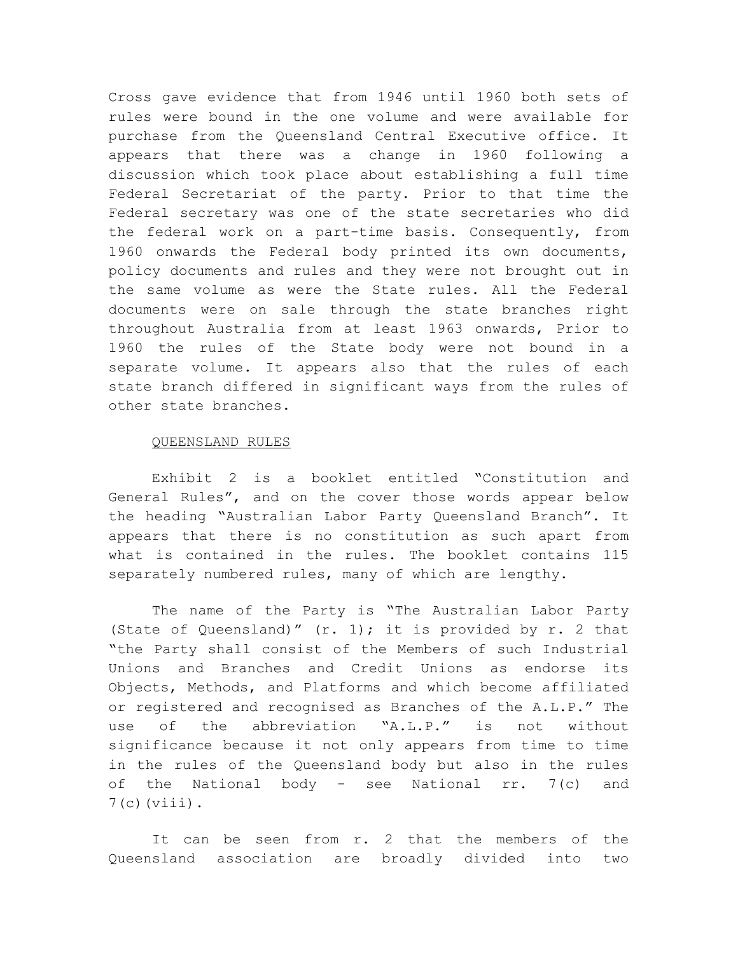Cross gave evidence that from 1946 until 1960 both sets of rules were bound in the one volume and were available for purchase from the Queensland Central Executive office. It appears that there was a change in 1960 following a discussion which took place about establishing a full time Federal Secretariat of the party. Prior to that time the Federal secretary was one of the state secretaries who did the federal work on a part-time basis. Consequently, from 1960 onwards the Federal body printed its own documents, policy documents and rules and they were not brought out in the same volume as were the State rules. All the Federal documents were on sale through the state branches right throughout Australia from at least 1963 onwards, Prior to 1960 the rules of the State body were not bound in a separate volume. It appears also that the rules of each state branch differed in significant ways from the rules of other state branches.

#### QUEENSLAND RULES

Exhibit 2 is a booklet entitled "Constitution and General Rules", and on the cover those words appear below the heading "Australian Labor Party Queensland Branch". It appears that there is no constitution as such apart from what is contained in the rules. The booklet contains 115 separately numbered rules, many of which are lengthy.

The name of the Party is "The Australian Labor Party (State of Queensland)"  $(r. 1)$ ; it is provided by  $r. 2$  that "the Party shall consist of the Members of such Industrial Unions and Branches and Credit Unions as endorse its Objects, Methods, and Platforms and which become affiliated or registered and recognised as Branches of the A.L.P." The use of the abbreviation "A.L.P." is not without significance because it not only appears from time to time in the rules of the Queensland body but also in the rules of the National body - see National rr. 7(c) and  $7(c)$  (viii).

It can be seen from r. 2 that the members of the Queensland association are broadly divided into two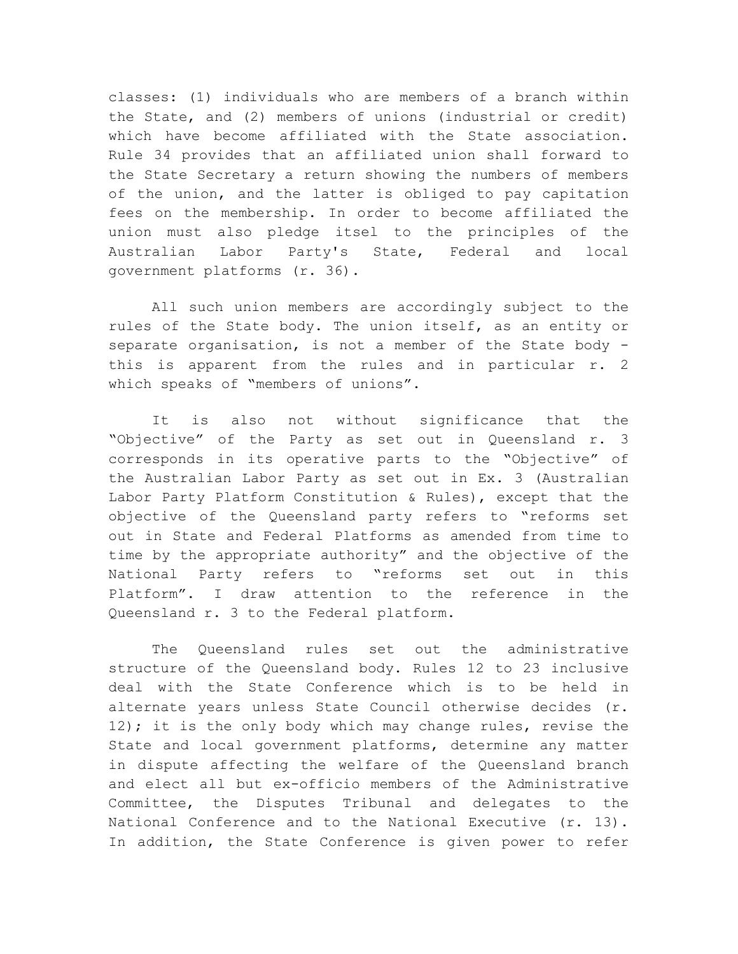classes: (1) individuals who are members of a branch within the State, and (2) members of unions (industrial or credit) which have become affiliated with the State association. Rule 34 provides that an affiliated union shall forward to the State Secretary a return showing the numbers of members of the union, and the latter is obliged to pay capitation fees on the membership. In order to become affiliated the union must also pledge itsel to the principles of the Australian Labor Party's State, Federal and local government platforms (r. 36).

All such union members are accordingly subject to the rules of the State body. The union itself, as an entity or separate organisation, is not a member of the State body this is apparent from the rules and in particular r. 2 which speaks of "members of unions".

It is also not without significance that the "Objective" of the Party as set out in Queensland r. 3 corresponds in its operative parts to the "Objective" of the Australian Labor Party as set out in Ex. 3 (Australian Labor Party Platform Constitution & Rules), except that the objective of the Queensland party refers to "reforms set out in State and Federal Platforms as amended from time to time by the appropriate authority" and the objective of the National Party refers to "reforms set out in this Platform". I draw attention to the reference in the Queensland r. 3 to the Federal platform.

The Queensland rules set out the administrative structure of the Queensland body. Rules 12 to 23 inclusive deal with the State Conference which is to be held in alternate years unless State Council otherwise decides (r. 12); it is the only body which may change rules, revise the State and local government platforms, determine any matter in dispute affecting the welfare of the Queensland branch and elect all but ex-officio members of the Administrative Committee, the Disputes Tribunal and delegates to the National Conference and to the National Executive (r. 13). In addition, the State Conference is given power to refer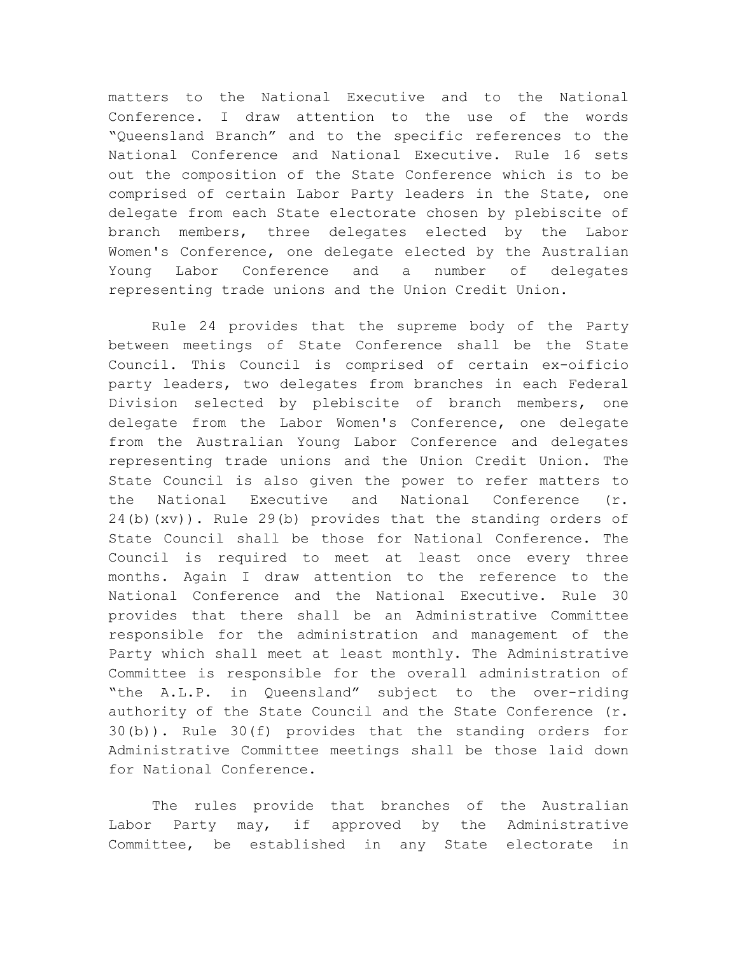matters to the National Executive and to the National Conference. I draw attention to the use of the words "Queensland Branch" and to the specific references to the National Conference and National Executive. Rule 16 sets out the composition of the State Conference which is to be comprised of certain Labor Party leaders in the State, one delegate from each State electorate chosen by plebiscite of branch members, three delegates elected by the Labor Women's Conference, one delegate elected by the Australian Young Labor Conference and a number of delegates representing trade unions and the Union Credit Union.

Rule 24 provides that the supreme body of the Party between meetings of State Conference shall be the State Council. This Council is comprised of certain ex-oificio party leaders, two delegates from branches in each Federal Division selected by plebiscite of branch members, one delegate from the Labor Women's Conference, one delegate from the Australian Young Labor Conference and delegates representing trade unions and the Union Credit Union. The State Council is also given the power to refer matters to the National Executive and National Conference (r. 24(b)(xv)). Rule 29(b) provides that the standing orders of State Council shall be those for National Conference. The Council is required to meet at least once every three months. Again I draw attention to the reference to the National Conference and the National Executive. Rule 30 provides that there shall be an Administrative Committee responsible for the administration and management of the Party which shall meet at least monthly. The Administrative Committee is responsible for the overall administration of "the A.L.P. in Queensland" subject to the over-riding authority of the State Council and the State Conference (r. 30(b)). Rule 30(f) provides that the standing orders for Administrative Committee meetings shall be those laid down for National Conference.

The rules provide that branches of the Australian Labor Party may, if approved by the Administrative Committee, be established in any State electorate in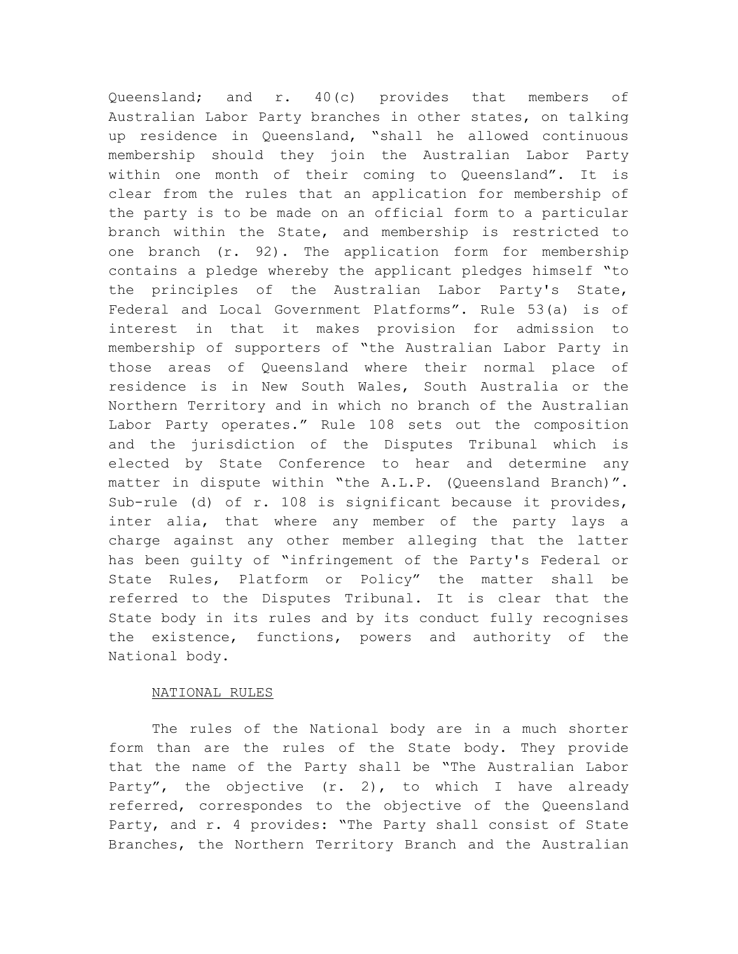Queensland; and r. 40(c) provides that members of Australian Labor Party branches in other states, on talking up residence in Queensland, "shall he allowed continuous membership should they join the Australian Labor Party within one month of their coming to Queensland". It is clear from the rules that an application for membership of the party is to be made on an official form to a particular branch within the State, and membership is restricted to one branch (r. 92). The application form for membership contains a pledge whereby the applicant pledges himself "to the principles of the Australian Labor Party's State, Federal and Local Government Platforms". Rule 53(a) is of interest in that it makes provision for admission to membership of supporters of "the Australian Labor Party in those areas of Queensland where their normal place of residence is in New South Wales, South Australia or the Northern Territory and in which no branch of the Australian Labor Party operates." Rule 108 sets out the composition and the jurisdiction of the Disputes Tribunal which is elected by State Conference to hear and determine any matter in dispute within "the A.L.P. (Queensland Branch)". Sub-rule (d) of r. 108 is significant because it provides, inter alia, that where any member of the party lays a charge against any other member alleging that the latter has been guilty of "infringement of the Party's Federal or State Rules, Platform or Policy" the matter shall be referred to the Disputes Tribunal. It is clear that the State body in its rules and by its conduct fully recognises the existence, functions, powers and authority of the National body.

## NATIONAL RULES

The rules of the National body are in a much shorter form than are the rules of the State body. They provide that the name of the Party shall be "The Australian Labor Party", the objective (r. 2), to which I have already referred, correspondes to the objective of the Queensland Party, and r. 4 provides: "The Party shall consist of State Branches, the Northern Territory Branch and the Australian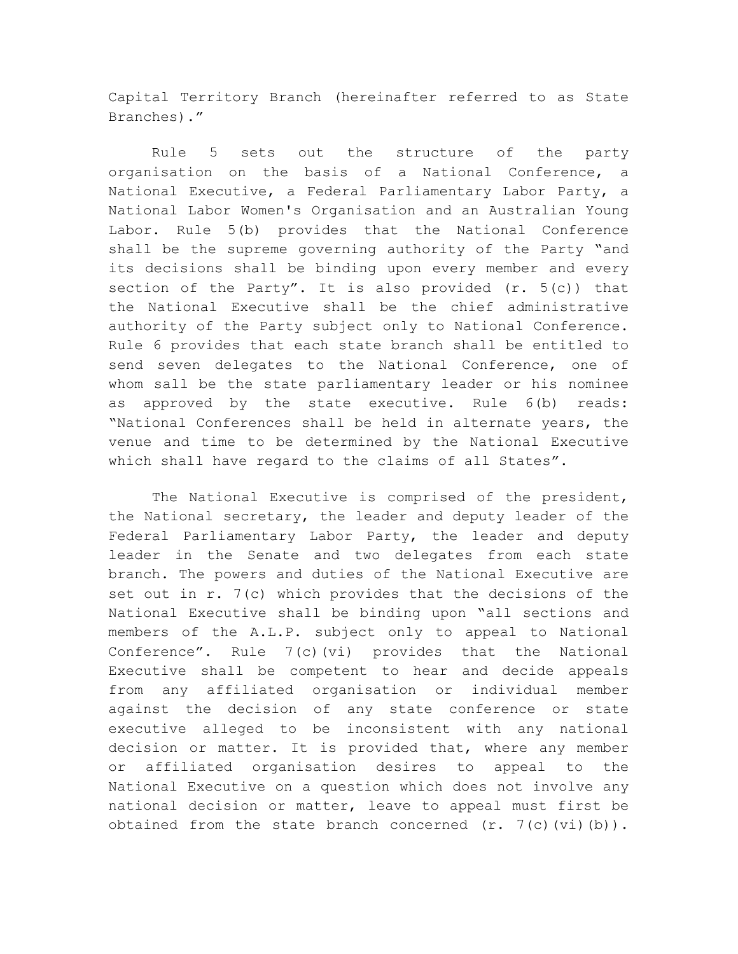Capital Territory Branch (hereinafter referred to as State Branches)."

Rule 5 sets out the structure of the party organisation on the basis of a National Conference, a National Executive, a Federal Parliamentary Labor Party, a National Labor Women's Organisation and an Australian Young Labor. Rule 5(b) provides that the National Conference shall be the supreme governing authority of the Party "and its decisions shall be binding upon every member and every section of the Party". It is also provided (r. 5(c)) that the National Executive shall be the chief administrative authority of the Party subject only to National Conference. Rule 6 provides that each state branch shall be entitled to send seven delegates to the National Conference, one of whom sall be the state parliamentary leader or his nominee as approved by the state executive. Rule 6(b) reads: "National Conferences shall be held in alternate years, the venue and time to be determined by the National Executive which shall have regard to the claims of all States".

The National Executive is comprised of the president, the National secretary, the leader and deputy leader of the Federal Parliamentary Labor Party, the leader and deputy leader in the Senate and two delegates from each state branch. The powers and duties of the National Executive are set out in r. 7(c) which provides that the decisions of the National Executive shall be binding upon "all sections and members of the A.L.P. subject only to appeal to National Conference". Rule  $7(c)(vi)$  provides that the National Executive shall be competent to hear and decide appeals from any affiliated organisation or individual member against the decision of any state conference or state executive alleged to be inconsistent with any national decision or matter. It is provided that, where any member or affiliated organisation desires to appeal to the National Executive on a question which does not involve any national decision or matter, leave to appeal must first be obtained from the state branch concerned  $(r. 7(c)$  $(vi)$  $(b))$ .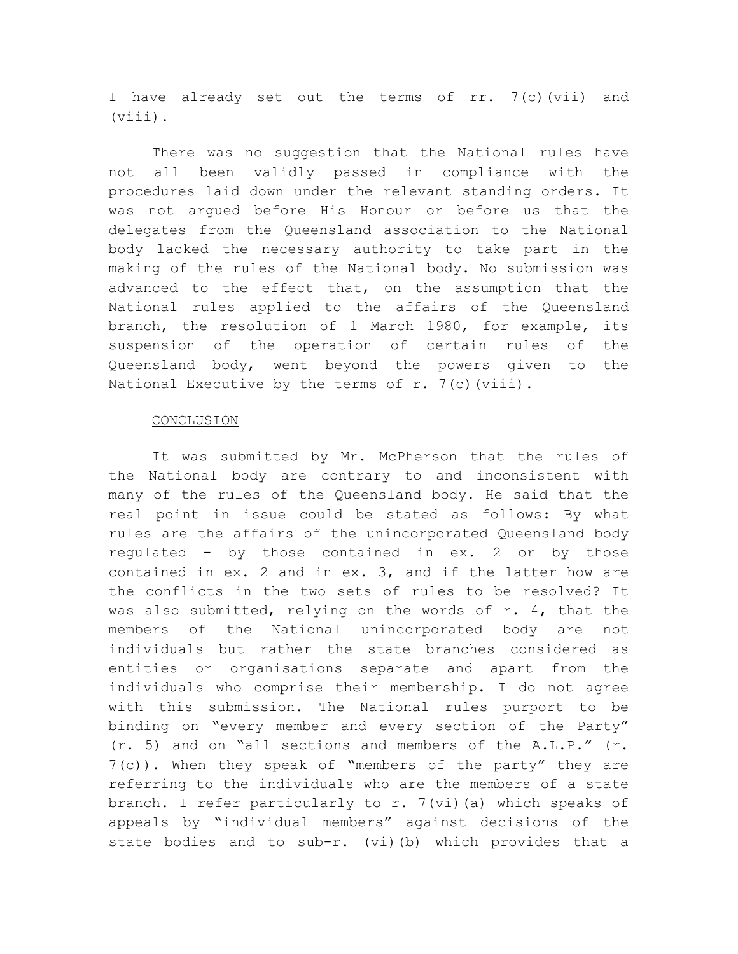I have already set out the terms of rr. 7(c)(vii) and (viii).

There was no suggestion that the National rules have not all been validly passed in compliance with the procedures laid down under the relevant standing orders. It was not argued before His Honour or before us that the delegates from the Queensland association to the National body lacked the necessary authority to take part in the making of the rules of the National body. No submission was advanced to the effect that, on the assumption that the National rules applied to the affairs of the Queensland branch, the resolution of 1 March 1980, for example, its suspension of the operation of certain rules of the Queensland body, went beyond the powers given to the National Executive by the terms of  $r$ . 7(c)(viii).

### **CONCLUSION**

It was submitted by Mr. McPherson that the rules of the National body are contrary to and inconsistent with many of the rules of the Queensland body. He said that the real point in issue could be stated as follows: By what rules are the affairs of the unincorporated Queensland body regulated - by those contained in ex. 2 or by those contained in ex. 2 and in ex. 3, and if the latter how are the conflicts in the two sets of rules to be resolved? It was also submitted, relying on the words of r. 4, that the members of the National unincorporated body are not individuals but rather the state branches considered as entities or organisations separate and apart from the individuals who comprise their membership. I do not agree with this submission. The National rules purport to be binding on "every member and every section of the Party" (r. 5) and on "all sections and members of the A.L.P." (r. 7(c)). When they speak of "members of the party" they are referring to the individuals who are the members of a state branch. I refer particularly to r. 7(vi)(a) which speaks of appeals by "individual members" against decisions of the state bodies and to sub-r. (vi)(b) which provides that a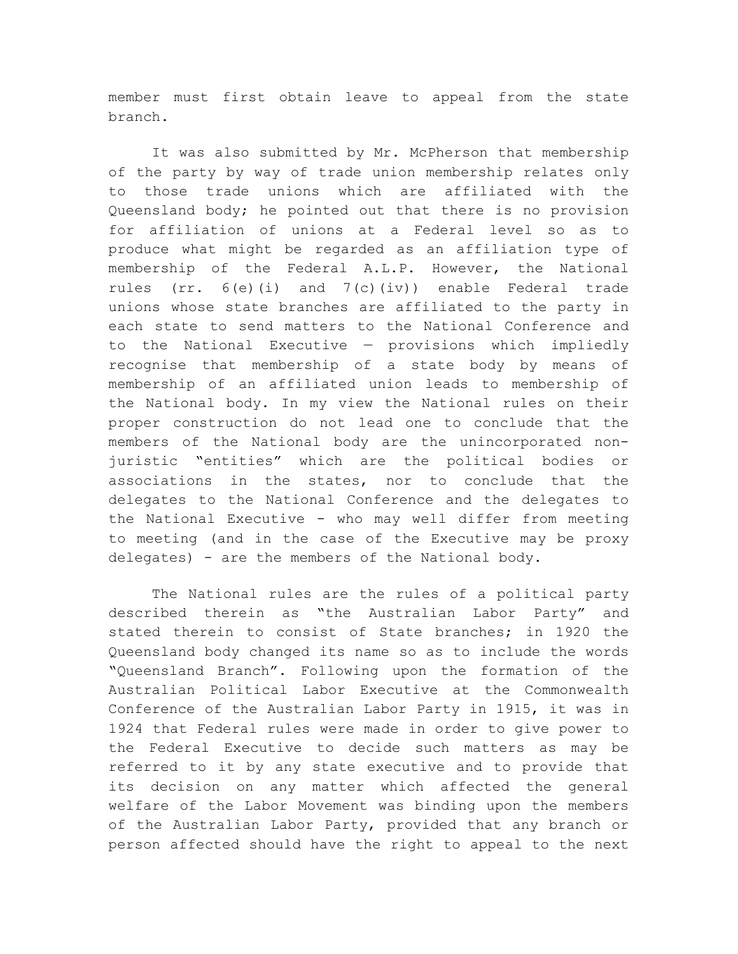member must first obtain leave to appeal from the state branch.

It was also submitted by Mr. McPherson that membership of the party by way of trade union membership relates only to those trade unions which are affiliated with the Queensland body; he pointed out that there is no provision for affiliation of unions at a Federal level so as to produce what might be regarded as an affiliation type of membership of the Federal A.L.P. However, the National rules (rr.  $6(e)$  (i) and  $7(c)$  (iv)) enable Federal trade unions whose state branches are affiliated to the party in each state to send matters to the National Conference and to the National Executive — provisions which impliedly recognise that membership of a state body by means of membership of an affiliated union leads to membership of the National body. In my view the National rules on their proper construction do not lead one to conclude that the members of the National body are the unincorporated nonjuristic "entities" which are the political bodies or associations in the states, nor to conclude that the delegates to the National Conference and the delegates to the National Executive - who may well differ from meeting to meeting (and in the case of the Executive may be proxy delegates) - are the members of the National body.

The National rules are the rules of a political party described therein as "the Australian Labor Party" and stated therein to consist of State branches; in 1920 the Queensland body changed its name so as to include the words "Queensland Branch". Following upon the formation of the Australian Political Labor Executive at the Commonwealth Conference of the Australian Labor Party in 1915, it was in 1924 that Federal rules were made in order to give power to the Federal Executive to decide such matters as may be referred to it by any state executive and to provide that its decision on any matter which affected the general welfare of the Labor Movement was binding upon the members of the Australian Labor Party, provided that any branch or person affected should have the right to appeal to the next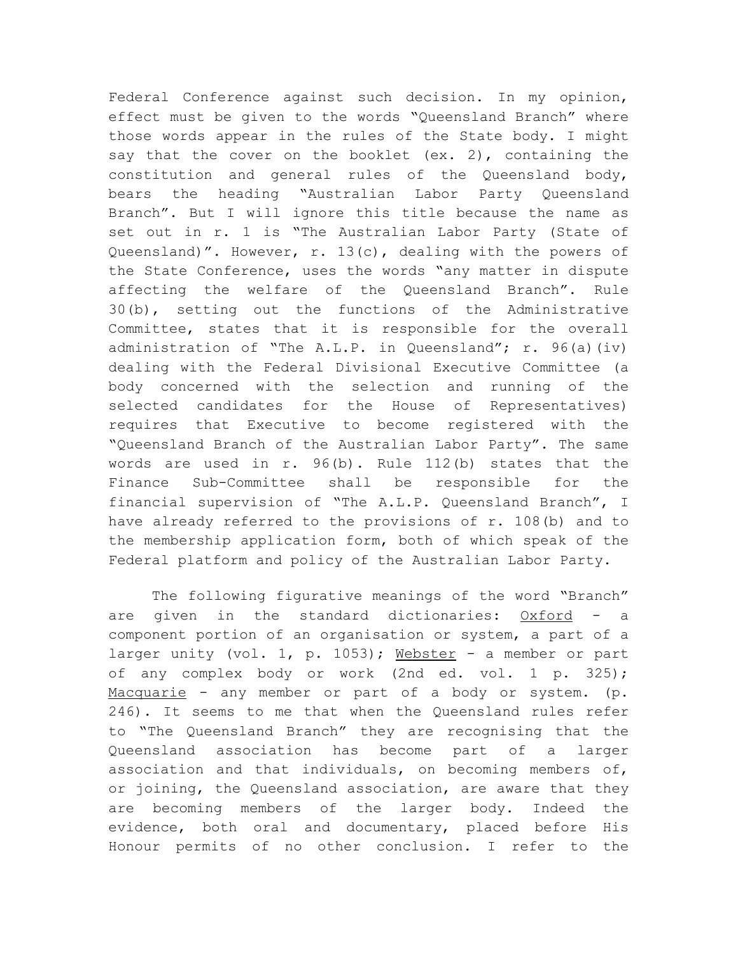Federal Conference against such decision. In my opinion, effect must be given to the words "Queensland Branch" where those words appear in the rules of the State body. I might say that the cover on the booklet (ex. 2), containing the constitution and general rules of the Queensland body, bears the heading "Australian Labor Party Queensland Branch". But I will ignore this title because the name as set out in r. 1 is "The Australian Labor Party (State of Queensland)". However, r. 13(c), dealing with the powers of the State Conference, uses the words "any matter in dispute affecting the welfare of the Queensland Branch". Rule 30(b), setting out the functions of the Administrative Committee, states that it is responsible for the overall administration of "The A.L.P. in Queensland"; r. 96(a)(iv) dealing with the Federal Divisional Executive Committee (a body concerned with the selection and running of the selected candidates for the House of Representatives) requires that Executive to become registered with the "Queensland Branch of the Australian Labor Party". The same words are used in r. 96(b). Rule 112(b) states that the Finance Sub-Committee shall be responsible for the financial supervision of "The A.L.P. Queensland Branch", I have already referred to the provisions of r. 108(b) and to the membership application form, both of which speak of the Federal platform and policy of the Australian Labor Party.

The following figurative meanings of the word "Branch" are given in the standard dictionaries: Oxford - a component portion of an organisation or system, a part of a larger unity (vol. 1, p. 1053); Webster - a member or part of any complex body or work (2nd ed. vol. 1 p. 325); Macquarie - any member or part of a body or system. (p. 246). It seems to me that when the Queensland rules refer to "The Queensland Branch" they are recognising that the Queensland association has become part of a larger association and that individuals, on becoming members of, or joining, the Queensland association, are aware that they are becoming members of the larger body. Indeed the evidence, both oral and documentary, placed before His Honour permits of no other conclusion. I refer to the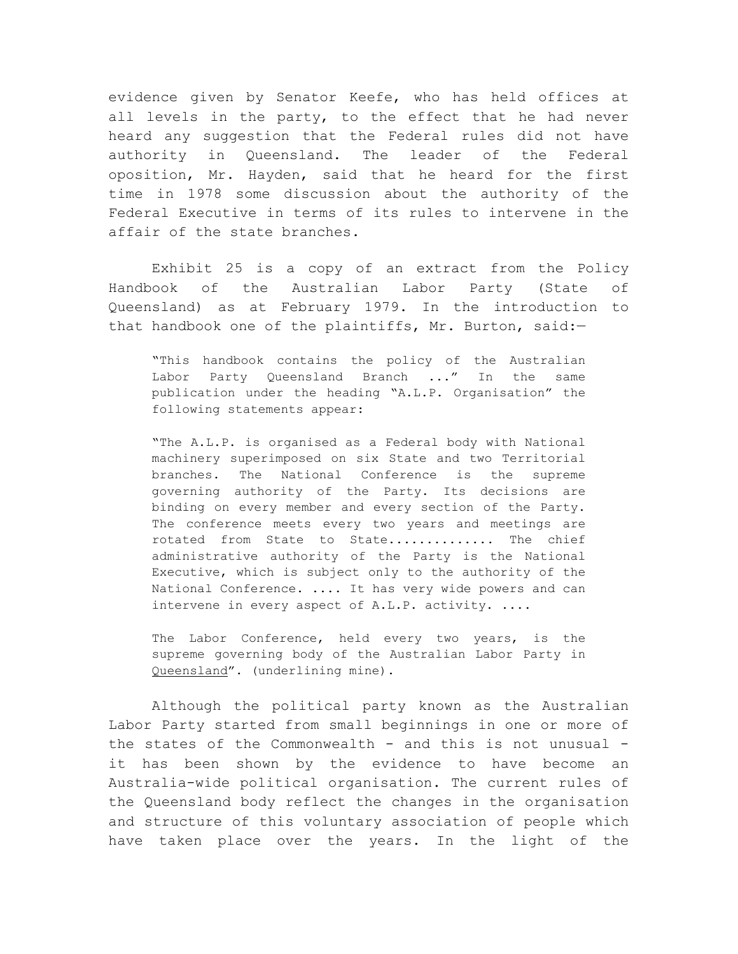evidence given by Senator Keefe, who has held offices at all levels in the party, to the effect that he had never heard any suggestion that the Federal rules did not have authority in Queensland. The leader of the Federal oposition, Mr. Hayden, said that he heard for the first time in 1978 some discussion about the authority of the Federal Executive in terms of its rules to intervene in the affair of the state branches.

Exhibit 25 is a copy of an extract from the Policy Handbook of the Australian Labor Party (State of Queensland) as at February 1979. In the introduction to that handbook one of the plaintiffs, Mr. Burton, said:—

"This handbook contains the policy of the Australian Labor Party Queensland Branch ..." In the same publication under the heading "A.L.P. Organisation" the following statements appear:

"The A.L.P. is organised as a Federal body with National machinery superimposed on six State and two Territorial branches. The National Conference is the supreme governing authority of the Party. Its decisions are binding on every member and every section of the Party. The conference meets every two years and meetings are rotated from State to State.............. The chief administrative authority of the Party is the National Executive, which is subject only to the authority of the National Conference. .... It has very wide powers and can intervene in every aspect of A.L.P. activity. ....

The Labor Conference, held every two years, is the supreme governing body of the Australian Labor Party in Queensland". (underlining mine).

Although the political party known as the Australian Labor Party started from small beginnings in one or more of the states of the Commonwealth - and this is not unusual it has been shown by the evidence to have become an Australia-wide political organisation. The current rules of the Queensland body reflect the changes in the organisation and structure of this voluntary association of people which have taken place over the years. In the light of the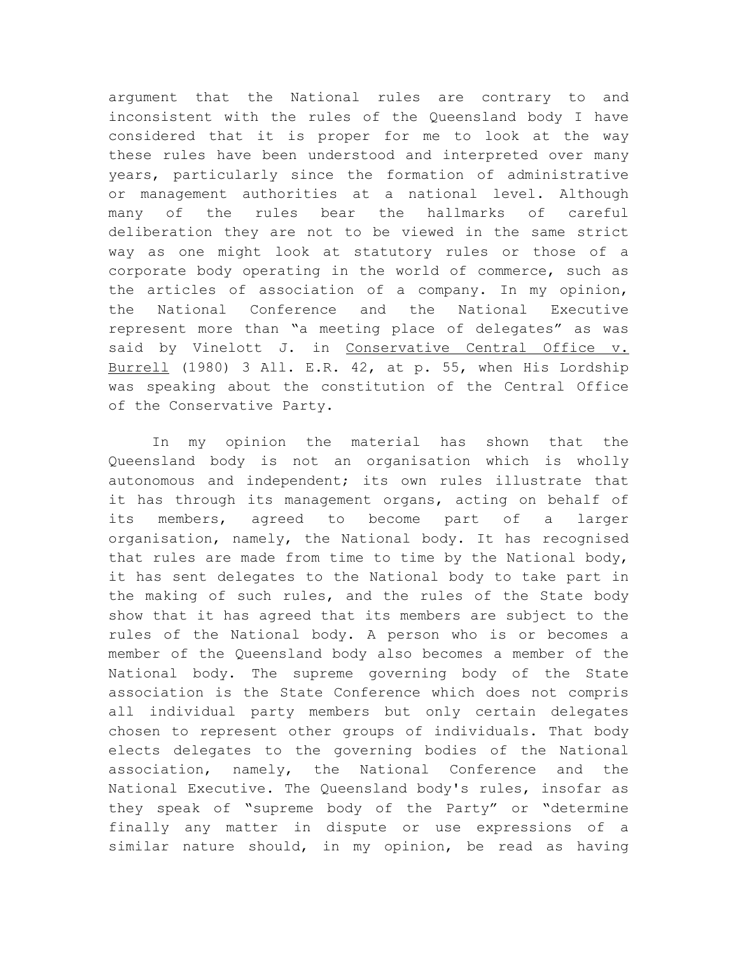argument that the National rules are contrary to and inconsistent with the rules of the Queensland body I have considered that it is proper for me to look at the way these rules have been understood and interpreted over many years, particularly since the formation of administrative or management authorities at a national level. Although many of the rules bear the hallmarks of careful deliberation they are not to be viewed in the same strict way as one might look at statutory rules or those of a corporate body operating in the world of commerce, such as the articles of association of a company. In my opinion, the National Conference and the National Executive represent more than "a meeting place of delegates" as was said by Vinelott J. in Conservative Central Office v. Burrell (1980) 3 All. E.R. 42, at p. 55, when His Lordship was speaking about the constitution of the Central Office of the Conservative Party.

In my opinion the material has shown that the Queensland body is not an organisation which is wholly autonomous and independent; its own rules illustrate that it has through its management organs, acting on behalf of its members, agreed to become part of a larger organisation, namely, the National body. It has recognised that rules are made from time to time by the National body, it has sent delegates to the National body to take part in the making of such rules, and the rules of the State body show that it has agreed that its members are subject to the rules of the National body. A person who is or becomes a member of the Queensland body also becomes a member of the National body. The supreme governing body of the State association is the State Conference which does not compris all individual party members but only certain delegates chosen to represent other groups of individuals. That body elects delegates to the governing bodies of the National association, namely, the National Conference and the National Executive. The Queensland body's rules, insofar as they speak of "supreme body of the Party" or "determine finally any matter in dispute or use expressions of a similar nature should, in my opinion, be read as having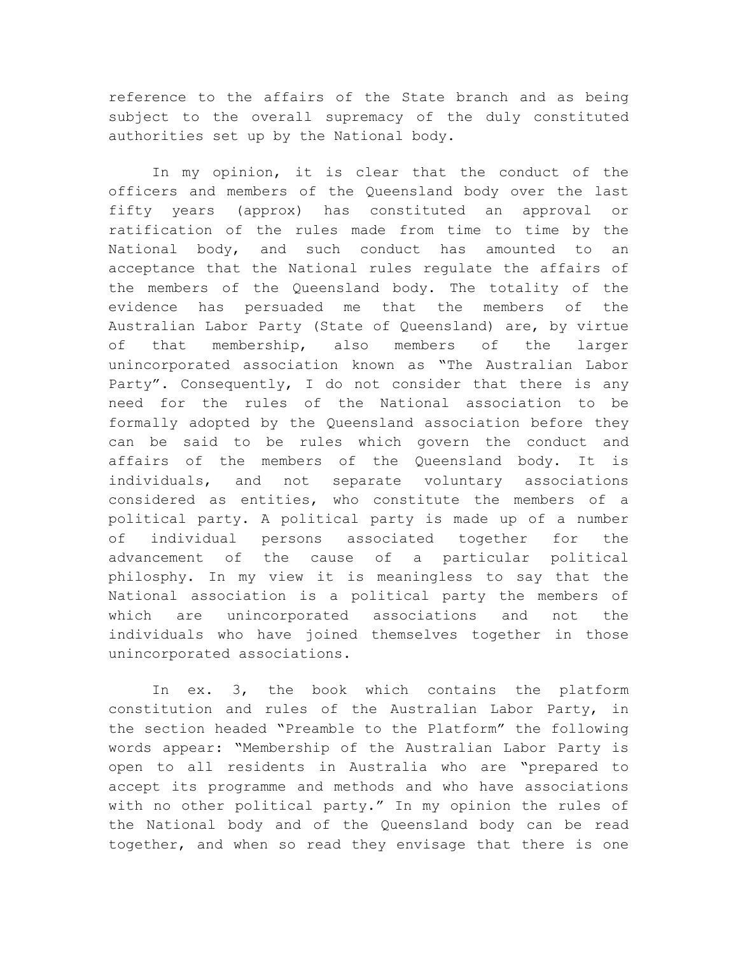reference to the affairs of the State branch and as being subject to the overall supremacy of the duly constituted authorities set up by the National body.

In my opinion, it is clear that the conduct of the officers and members of the Queensland body over the last fifty years (approx) has constituted an approval or ratification of the rules made from time to time by the National body, and such conduct has amounted to an acceptance that the National rules regulate the affairs of the members of the Queensland body. The totality of the evidence has persuaded me that the members of the Australian Labor Party (State of Queensland) are, by virtue of that membership, also members of the larger unincorporated association known as "The Australian Labor Party". Consequently, I do not consider that there is any need for the rules of the National association to be formally adopted by the Queensland association before they can be said to be rules which govern the conduct and affairs of the members of the Queensland body. It is individuals, and not separate voluntary associations considered as entities, who constitute the members of a political party. A political party is made up of a number of individual persons associated together for the advancement of the cause of a particular political philosphy. In my view it is meaningless to say that the National association is a political party the members of which are unincorporated associations and not the individuals who have joined themselves together in those unincorporated associations.

In ex. 3, the book which contains the platform constitution and rules of the Australian Labor Party, in the section headed "Preamble to the Platform" the following words appear: "Membership of the Australian Labor Party is open to all residents in Australia who are "prepared to accept its programme and methods and who have associations with no other political party." In my opinion the rules of the National body and of the Queensland body can be read together, and when so read they envisage that there is one